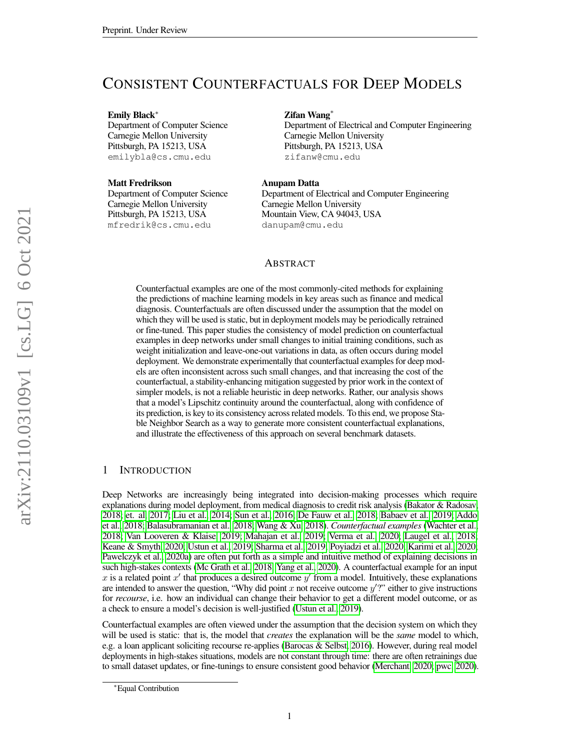# CONSISTENT COUNTERFACTUALS FOR DEEP MODELS

Emily Black<sup>∗</sup>

Department of Computer Science Carnegie Mellon University Pittsburgh, PA 15213, USA emilybla@cs.cmu.edu

Matt Fredrikson Department of Computer Science Carnegie Mellon University Pittsburgh, PA 15213, USA mfredrik@cs.cmu.edu

Zifan Wang<sup>∗</sup>

Department of Electrical and Computer Engineering Carnegie Mellon University Pittsburgh, PA 15213, USA zifanw@cmu.edu

### Anupam Datta

Department of Electrical and Computer Engineering Carnegie Mellon University Mountain View, CA 94043, USA danupam@cmu.edu

# ABSTRACT

Counterfactual examples are one of the most commonly-cited methods for explaining the predictions of machine learning models in key areas such as finance and medical diagnosis. Counterfactuals are often discussed under the assumption that the model on which they will be used is static, but in deployment models may be periodically retrained or fine-tuned. This paper studies the consistency of model prediction on counterfactual examples in deep networks under small changes to initial training conditions, such as weight initialization and leave-one-out variations in data, as often occurs during model deployment. We demonstrate experimentally that counterfactual examples for deep models are often inconsistent across such small changes, and that increasing the cost of the counterfactual, a stability-enhancing mitigation suggested by prior work in the context of simpler models, is not a reliable heuristic in deep networks. Rather, our analysis shows that a model's Lipschitz continuity around the counterfactual, along with confidence of its prediction, is key to its consistency across related models. To this end, we propose Stable Neighbor Search as a way to generate more consistent counterfactual explanations, and illustrate the effectiveness of this approach on several benchmark datasets.

# 1 INTRODUCTION

Deep Networks are increasingly being integrated into decision-making processes which require explanations during model deployment, from medical diagnosis to credit risk analysis [\(Bakator & Radosav,](#page-9-0) [2018;](#page-9-0) [et. al, 2017;](#page-10-0) [Liu et al., 2014;](#page-11-0) [Sun et al., 2016;](#page-12-0) [De Fauw et al., 2018;](#page-10-1) [Babaev et al., 2019;](#page-9-1) [Addo](#page-9-2) [et al., 2018;](#page-9-2) [Balasubramanian et al., 2018;](#page-9-3) [Wang & Xu, 2018\)](#page-12-1). *Counterfactual examples* [\(Wachter et al.,](#page-12-2) [2018;](#page-12-2) [Van Looveren & Klaise, 2019;](#page-12-3) [Mahajan et al., 2019;](#page-11-1) [Verma et al., 2020;](#page-12-4) [Laugel et al., 2018;](#page-11-2) [Keane & Smyth, 2020;](#page-11-3) [Ustun et al., 2019;](#page-12-5) [Sharma et al., 2019;](#page-12-6) [Poyiadzi et al., 2020;](#page-12-7) [Karimi et al., 2020;](#page-11-4) [Pawelczyk et al., 2020a\)](#page-12-8) are often put forth as a simple and intuitive method of explaining decisions in such high-stakes contexts [\(Mc Grath et al., 2018;](#page-11-5) [Yang et al., 2020\)](#page-13-0). A counterfactual example for an input x is a related point  $x'$  that produces a desired outcome  $y'$  from a model. Intuitively, these explanations are intended to answer the question, "Why did point  $x$  not receive outcome  $y$ "?" either to give instructions for *recourse*, i.e. how an individual can change their behavior to get a different model outcome, or as a check to ensure a model's decision is well-justified [\(Ustun et al., 2019\)](#page-12-5).

Counterfactual examples are often viewed under the assumption that the decision system on which they will be used is static: that is, the model that *creates* the explanation will be the *same* model to which, e.g. a loan applicant soliciting recourse re-applies [\(Barocas & Selbst, 2016\)](#page-9-4). However, during real model deployments in high-stakes situations, models are not constant through time: there are often retrainings due to small dataset updates, or fine-tunings to ensure consistent good behavior [\(Merchant, 2020;](#page-11-6) [pwc, 2020\)](#page-9-5).

<sup>∗</sup>Equal Contribution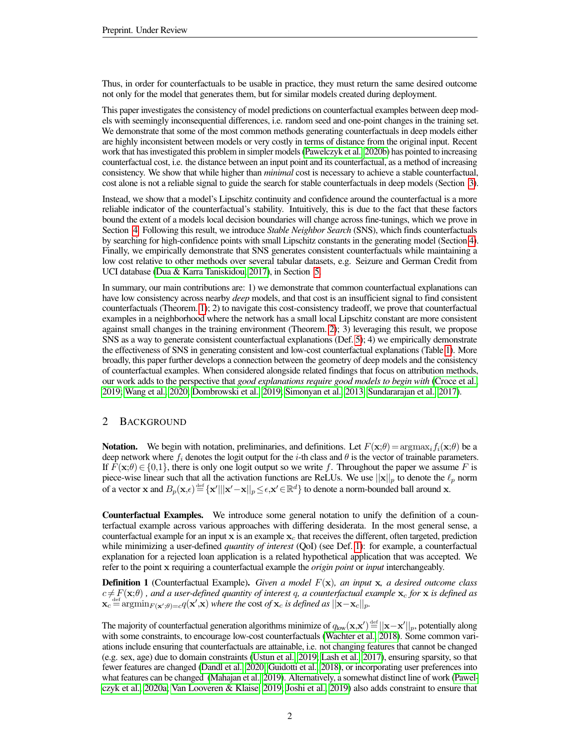Thus, in order for counterfactuals to be usable in practice, they must return the same desired outcome not only for the model that generates them, but for similar models created during deployment.

This paper investigates the consistency of model predictions on counterfactual examples between deep models with seemingly inconsequential differences, i.e. random seed and one-point changes in the training set. We demonstrate that some of the most common methods generating counterfactuals in deep models either are highly inconsistent between models or very costly in terms of distance from the original input. Recent work that has investigated this problem in simpler models [\(Pawelczyk et al., 2020b\)](#page-12-9) has pointed to increasing counterfactual cost, i.e. the distance between an input point and its counterfactual, as a method of increasing consistency. We show that while higher than *minimal* cost is necessary to achieve a stable counterfactual, cost alone is not a reliable signal to guide the search for stable counterfactuals in deep models (Section [3\)](#page-2-0).

Instead, we show that a model's Lipschitz continuity and confidence around the counterfactual is a more reliable indicator of the counterfactual's stability. Intuitively, this is due to the fact that these factors bound the extent of a models local decision boundaries will change across fine-tunings, which we prove in Section [4.](#page-3-0) Following this result, we introduce *Stable Neighbor Search* (SNS), which finds counterfactuals by searching for high-confidence points with small Lipschitz constants in the generating model (Section [4\)](#page-3-0). Finally, we empirically demonstrate that SNS generates consistent counterfactuals while maintaining a low cost relative to other methods over several tabular datasets, e.g. Seizure and German Credit from UCI database [\(Dua & Karra Taniskidou, 2017\)](#page-10-2), in Section [5.](#page-6-0)

In summary, our main contributions are: 1) we demonstrate that common counterfactual explanations can have low consistency across nearby *deep* models, and that cost is an insufficient signal to find consistent counterfactuals (Theorem. [1\)](#page-2-1); 2) to navigate this cost-consistency tradeoff, we prove that counterfactual examples in a neighborhood where the network has a small local Lipschitz constant are more consistent against small changes in the training environment (Theorem. [2\)](#page-4-0); 3) leveraging this result, we propose SNS as a way to generate consistent counterfactual explanations (Def. [5\)](#page-6-1); 4) we empirically demonstrate the effectiveness of SNS in generating consistent and low-cost counterfactual explanations (Table [1\)](#page-7-0). More broadly, this paper further develops a connection between the geometry of deep models and the consistency of counterfactual examples. When considered alongside related findings that focus on attribution methods, our work adds to the perspective that *good explanations require good models to begin with* [\(Croce et al.,](#page-10-3) [2019;](#page-10-3) [Wang et al., 2020;](#page-12-10) [Dombrowski et al., 2019;](#page-10-4) [Simonyan et al., 2013;](#page-12-11) [Sundararajan et al., 2017\)](#page-12-12).

# 2 BACKGROUND

**Notation.** We begin with notation, preliminaries, and definitions. Let  $F(\mathbf{x};\theta) = \arg\max_i f_i(\mathbf{x};\theta)$  be a deep network where  $f_i$  denotes the logit output for the i-th class and  $\theta$  is the vector of trainable parameters. If  $F(\mathbf{x};\theta) \in \{0,1\}$ , there is only one logit output so we write f. Throughout the paper we assume F is piece-wise linear such that all the activation functions are ReLUs. We use  $||\mathbf{x}||_p$  to denote the  $\ell_p$  norm of a vector x and  $B_p(\mathbf{x}, \epsilon) \stackrel{\text{def}}{=} {\mathbf{x}}' || |\mathbf{x}' - \mathbf{x}||_p \leq \epsilon, \mathbf{x}' \in \mathbb{R}^d$  to denote a norm-bounded ball around x.

Counterfactual Examples. We introduce some general notation to unify the definition of a counterfactual example across various approaches with differing desiderata. In the most general sense, a counterfactual example for an input x is an example  $x_c$  that receives the different, often targeted, prediction while minimizing a user-defined *quantity of interest* (QoI) (see Def. [1\)](#page-1-0): for example, a counterfactual explanation for a rejected loan application is a related hypothetical application that was accepted. We refer to the point x requiring a counterfactual example the *origin point* or *input* interchangeably.

<span id="page-1-0"></span>Definition 1 (Counterfactual Example). *Given a model* F(x)*, an input* x*, a desired outcome class*  $c \neq F(\mathbf{x};\theta)$ , and a user-defined quantity of interest q, a counterfactual example  $\mathbf{x}_c$  for  $\mathbf{x}$  is defined as  $\mathbf{x}_c \stackrel{\text{def}}{=} \arg\!\min_{F(\mathbf{x}',\theta)=c} q(\mathbf{x}',\mathbf{x})$  where the cost of  $\mathbf{x}_c$  is defined as  $||\mathbf{x}-\mathbf{x}_c||_p$ .

The majority of counterfactual generation algorithms minimize of  $q_{\rm low}({\bf x},{\bf x}')\!=\!||{\bf x}-{\bf x}'||_p,$  potentially along with some constraints, to encourage low-cost counterfactuals [\(Wachter et al., 2018\)](#page-12-2). Some common variations include ensuring that counterfactuals are attainable, i.e. not changing features that cannot be changed (e.g. sex, age) due to domain constraints [\(Ustun et al., 2019;](#page-12-5) [Lash et al., 2017\)](#page-11-7), ensuring sparsity, so that fewer features are changed [\(Dandl et al., 2020;](#page-10-5) [Guidotti et al., 2018\)](#page-10-6), or incorporating user preferences into what features can be changed [\(Mahajan et al., 2019\)](#page-11-1). Alternatively, a somewhat distinct line of work [\(Pawel](#page-12-8)[czyk et al., 2020a;](#page-12-8) [Van Looveren & Klaise, 2019;](#page-12-3) [Joshi et al., 2019\)](#page-11-8) also adds constraint to ensure that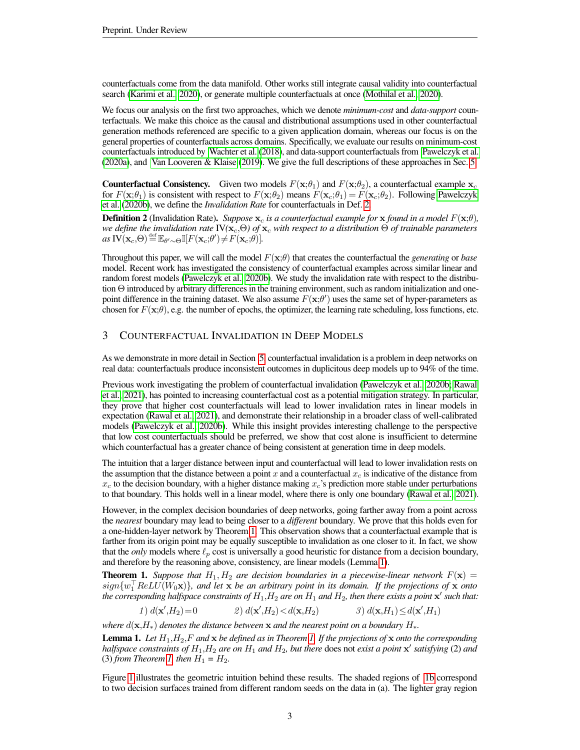counterfactuals come from the data manifold. Other works still integrate causal validity into counterfactual search [\(Karimi et al., 2020\)](#page-11-4), or generate multiple counterfactuals at once [\(Mothilal et al., 2020\)](#page-11-9).

We focus our analysis on the first two approaches, which we denote *minimum-cost* and *data-support* counterfactuals. We make this choice as the causal and distributional assumptions used in other counterfactual generation methods referenced are specific to a given application domain, whereas our focus is on the general properties of counterfactuals across domains. Specifically, we evaluate our results on minimum-cost counterfactuals introduced by [Wachter et al.](#page-12-2) [\(2018\)](#page-12-2), and data-support counterfactuals from [Pawelczyk et al.](#page-12-8) [\(2020a\)](#page-12-8), and [Van Looveren & Klaise](#page-12-3) [\(2019\)](#page-12-3). We give the full descriptions of these approaches in Sec. [5.](#page-6-0)

**Counterfactual Consistency.** Given two models  $F(\mathbf{x};\theta_1)$  and  $F(\mathbf{x};\theta_2)$ , a counterfactual example  $\mathbf{x}_c$ for  $F(\mathbf{x};\theta_1)$  is consistent with respect to  $F(\mathbf{x};\theta_2)$  means  $F(\mathbf{x}_c;\theta_1) = F(\mathbf{x}_c;\theta_2)$ . Following [Pawelczyk](#page-12-9) [et al.](#page-12-9) [\(2020b\)](#page-12-9), we define the *Invalidation Rate* for counterfactuals in Def. [2.](#page-2-2)

<span id="page-2-2"></span>**Definition 2** (Invalidation Rate). *Suppose*  $x_c$  *is a counterfactual example for*  $x$  *found in a model*  $F(x;\theta)$ *, we define the invalidation rate*  $\text{IV}(\mathbf{x}_c,\Theta)$  *of*  $\mathbf{x}_c$  *with respect to a distribution*  $\Theta$  *of trainable parameters*  $as \ \mathbf{IV}(\mathbf{x}_c,\Theta) \stackrel{\text{def}}{=} \mathbb{E}_{\theta' \sim \Theta} \mathbb{I}[F(\mathbf{x}_c;\theta') \neq F(\mathbf{x}_c;\theta)].$ 

Throughout this paper, we will call the model  $F(\mathbf{x};\theta)$  that creates the counterfactual the *generating* or *base* model. Recent work has investigated the consistency of counterfactual examples across similar linear and random forest models [\(Pawelczyk et al., 2020b\)](#page-12-9). We study the invalidation rate with respect to the distribution Θ introduced by arbitrary differences in the training environment, such as random initialization and onepoint difference in the training dataset. We also assume  $F(\mathbf{x};\theta')$  uses the same set of hyper-parameters as chosen for  $F(\mathbf{x};\theta)$ , e.g. the number of epochs, the optimizer, the learning rate scheduling, loss functions, etc.

# <span id="page-2-0"></span>3 COUNTERFACTUAL INVALIDATION IN DEEP MODELS

As we demonstrate in more detail in Section [5,](#page-6-0) counterfactual invalidation is a problem in deep networks on real data: counterfactuals produce inconsistent outcomes in duplicitous deep models up to 94% of the time.

Previous work investigating the problem of counterfactual invalidation [\(Pawelczyk et al., 2020b;](#page-12-9) [Rawal](#page-12-13) [et al., 2021\)](#page-12-13), has pointed to increasing counterfactual cost as a potential mitigation strategy. In particular, they prove that higher cost counterfactuals will lead to lower invalidation rates in linear models in expectation [\(Rawal et al., 2021\)](#page-12-13), and demonstrate their relationship in a broader class of well-calibrated models [\(Pawelczyk et al., 2020b\)](#page-12-9). While this insight provides interesting challenge to the perspective that low cost counterfactuals should be preferred, we show that cost alone is insufficient to determine which counterfactual has a greater chance of being consistent at generation time in deep models.

The intuition that a larger distance between input and counterfactual will lead to lower invalidation rests on the assumption that the distance between a point x and a counterfactual  $x_c$  is indicative of the distance from  $x_c$  to the decision boundary, with a higher distance making  $x_c$ 's prediction more stable under perturbations to that boundary. This holds well in a linear model, where there is only one boundary [\(Rawal et al., 2021\)](#page-12-13).

However, in the complex decision boundaries of deep networks, going farther away from a point across the *nearest* boundary may lead to being closer to a *different* boundary. We prove that this holds even for a one-hidden-layer network by Theorem [1.](#page-2-1) This observation shows that a counterfactual example that is farther from its origin point may be equally susceptible to invalidation as one closer to it. In fact, we show that the *only* models where  $\ell_p$  cost is universally a good heuristic for distance from a decision boundary, and therefore by the reasoning above, consistency, are linear models (Lemma [1\)](#page-2-3).

<span id="page-2-1"></span>**Theorem 1.** *Suppose that*  $H_1, H_2$  *are decision boundaries in a piecewise-linear network*  $F(\mathbf{x}) =$  $sign\{w_1^\top ReLU(W_0\mathbf{x})\}$ , and let  $\mathbf{x}$  *be an arbitrary point in its domain. If the projections of*  $\mathbf{x}$  *onto* the corresponding halfspace constraints of  $H_1,H_2$  are on  $H_1$  and  $H_2$ , then there exists a point  $\mathbf{x}'$  such that:

$$
1) d(\mathbf{x}', H_2) = 0 \qquad \qquad 2) d(\mathbf{x}', H_2) < d(\mathbf{x}, H_2) \qquad \qquad 3) d(\mathbf{x}, H_1) \le d(\mathbf{x}', H_1)
$$

*where*  $d(\mathbf{x}, H_*)$  *denotes the distance between*  $\mathbf{x}$  *and the nearest point on a boundary*  $H_*$ .

<span id="page-2-3"></span>Lemma 1. *Let* H1,H2,F *and* x *be defined as in Theorem [1.](#page-2-1) If the projections of* x *onto the corresponding halfspace constraints of*  $H_1$ *,*  $H_2$  *are on*  $H_1$  *and*  $H_2$ *, but there does not exist a point*  $\mathbf{x}'$  *satisfying (2) and* (3) *from Theorem [1,](#page-2-1) then*  $H_1 = H_2$ .

Figure [1](#page-3-1) illustrates the geometric intuition behind these results. The shaded regions of [1b](#page-3-1) correspond to two decision surfaces trained from different random seeds on the data in (a). The lighter gray region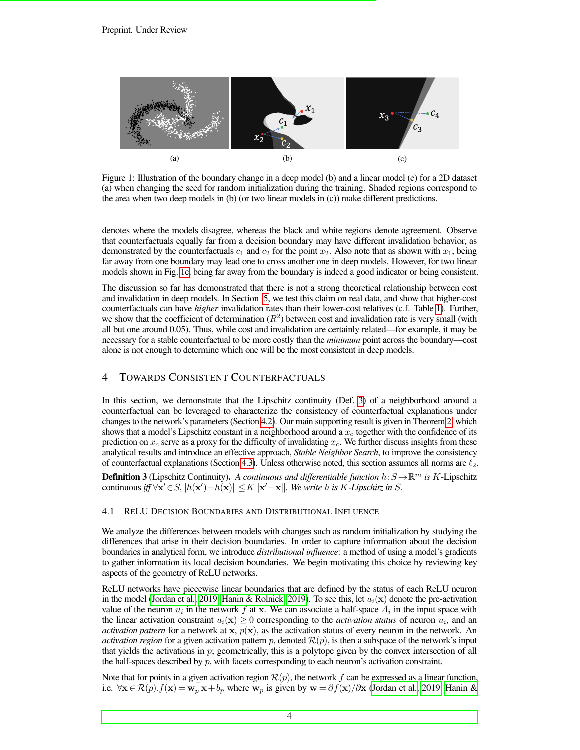<span id="page-3-1"></span>

Figure 1: Illustration of the boundary change in a deep model (b) and a linear model (c) for a 2D dataset (a) when changing the seed for random initialization during the training. Shaded regions correspond to the area when two deep models in (b) (or two linear models in (c)) make different predictions.

denotes where the models disagree, whereas the black and white regions denote agreement. Observe that counterfactuals equally far from a decision boundary may have different invalidation behavior, as demonstrated by the counterfactuals  $c_1$  and  $c_2$  for the point  $x_2$ . Also note that as shown with  $x_1$ , being far away from one boundary may lead one to cross another one in deep models. However, for two linear models shown in Fig. [1c,](#page-3-1) being far away from the boundary is indeed a good indicator or being consistent.

The discussion so far has demonstrated that there is not a strong theoretical relationship between cost and invalidation in deep models. In Section [5,](#page-6-0) we test this claim on real data, and show that higher-cost counterfactuals can have *higher* invalidation rates than their lower-cost relatives (c.f. Table [1\)](#page-7-0). Further, we show that the coefficient of determination  $(R^2)$  between cost and invalidation rate is very small (with all but one around 0.05). Thus, while cost and invalidation are certainly related—for example, it may be necessary for a stable counterfactual to be more costly than the *minimum* point across the boundary—cost alone is not enough to determine which one will be the most consistent in deep models.

# <span id="page-3-0"></span>4 TOWARDS CONSISTENT COUNTERFACTUALS

In this section, we demonstrate that the Lipschitz continuity (Def. [3\)](#page-3-2) of a neighborhood around a counterfactual can be leveraged to characterize the consistency of counterfactual explanations under changes to the network's parameters (Section [4.2\)](#page-4-1). Our main supporting result is given in Theorem [2,](#page-4-0) which shows that a model's Lipschitz constant in a neighborhood around a  $x_c$  together with the confidence of its prediction on  $x_c$  serve as a proxy for the difficulty of invalidating  $x_c$ . We further discuss insights from these analytical results and introduce an effective approach, *Stable Neighbor Search*, to improve the consistency of counterfactual explanations (Section [4.3\)](#page-5-0). Unless otherwise noted, this section assumes all norms are  $\ell_2$ .

<span id="page-3-2"></span>**Definition 3** (Lipschitz Continuity). A continuous and differentiable function  $h: S \to \mathbb{R}^m$  is K-Lipschitz continuous *iff*  $\forall x' \in S, ||h(x') - h(x)|| \le K||x' - x||$ . We write h is K-Lipschitz in S.

#### 4.1 RELU DECISION BOUNDARIES AND DISTRIBUTIONAL INFLUENCE

We analyze the differences between models with changes such as random initialization by studying the differences that arise in their decision boundaries. In order to capture information about the decision boundaries in analytical form, we introduce *distributional influence*: a method of using a model's gradients to gather information its local decision boundaries. We begin motivating this choice by reviewing key aspects of the geometry of ReLU networks.

ReLU networks have piecewise linear boundaries that are defined by the status of each ReLU neuron in the model [\(Jordan et al., 2019;](#page-11-10) [Hanin & Rolnick, 2019\)](#page-10-7). To see this, let  $u_i(\mathbf{x})$  denote the pre-activation value of the neuron  $u_i$  in the network f at x. We can associate a half-space  $A_i$  in the input space with the linear activation constraint  $u_i(\mathbf{x}) \geq 0$  corresponding to the *activation status* of neuron  $u_i$ , and an *activation pattern* for a network at  $x$ ,  $p(x)$ , as the activation status of every neuron in the network. An *activation region* for a given activation pattern p, denoted  $\mathcal{R}(p)$ , is then a subspace of the network's input that yields the activations in  $p$ ; geometrically, this is a polytope given by the convex intersection of all the half-spaces described by  $p$ , with facets corresponding to each neuron's activation constraint.

Note that for points in a given activation region  $\mathcal{R}(p)$ , the network f can be expressed as a linear function, i.e.  $\forall x \in \mathcal{R}(p) \cdot f(x) = \mathbf{w}_p^{\top} \mathbf{x} + b_p$  where  $\mathbf{w}_p$  is given by  $\mathbf{w} = \partial f(\mathbf{x}) / \partial \mathbf{x}$  [\(Jordan et al., 2019;](#page-11-10) [Hanin &](#page-10-7)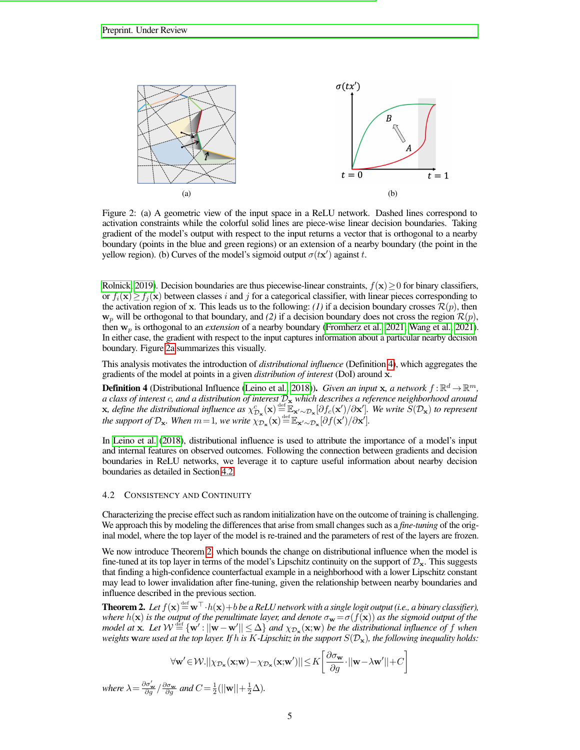<span id="page-4-2"></span>

Figure 2: (a) A geometric view of the input space in a ReLU network. Dashed lines correspond to activation constraints while the colorful solid lines are piece-wise linear decision boundaries. Taking gradient of the model's output with respect to the input returns a vector that is orthogonal to a nearby boundary (points in the blue and green regions) or an extension of a nearby boundary (the point in the yellow region). (b) Curves of the model's sigmoid output  $\sigma(tx')$  against t.

[Rolnick, 2019\)](#page-10-7). Decision boundaries are thus piecewise-linear constraints,  $f(x) \ge 0$  for binary classifiers, or  $f_i(\mathbf{x}) \geq f_i(\mathbf{x})$  between classes i and j for a categorical classifier, with linear pieces corresponding to the activation region of x. This leads us to the following: *(1)* if a decision boundary crosses  $\mathcal{R}(p)$ , then  $w_p$  will be orthogonal to that boundary, and (2) if a decision boundary does not cross the region  $\mathcal{R}(p)$ , then w<sup>p</sup> is orthogonal to an *extension* of a nearby boundary [\(Fromherz et al., 2021;](#page-10-8) [Wang et al., 2021\)](#page-13-1). In either case, the gradient with respect to the input captures information about a particular nearby decision boundary. Figure [2a](#page-4-2) summarizes this visually.

This analysis motivates the introduction of *distributional influence* (Definition [4\)](#page-4-3), which aggregates the gradients of the model at points in a given *distribution of interest* (DoI) around x.

<span id="page-4-3"></span>**Definition 4** (Distributional Influence [\(Leino et al., 2018\)](#page-11-11)). *Given an input* x, a network  $f : \mathbb{R}^d \to \mathbb{R}^m$ , *a class of interest* c*, and a distribution of interest* D<sup>x</sup> *which describes a reference neighborhood around*  $\mathbf{x}$ , define the distributional influence as  $\chi^c_{\mathcal{D}_\mathbf{x}}(\mathbf{x}) \stackrel{\text{def}}{=} \mathbb{E}_{\mathbf{x}' \sim \mathcal{D}_\mathbf{x}}[\partial f_c(\mathbf{x}')/\partial \mathbf{x}']$ . We write  $\widetilde{S}(\mathcal{D}_\mathbf{x})$  to represent *the support of*  $\mathcal{D}_x$ *. When*  $m=1$ *, we write*  $\chi_{\mathcal{D}_x}(\mathbf{x}) \stackrel{\text{def}}{=} \mathbb{E}_{\mathbf{x}' \sim \mathcal{D}_x}[\partial f(\mathbf{x}')/\partial \mathbf{x}']$ *.* 

In [Leino et al.](#page-11-11) [\(2018\)](#page-11-11), distributional influence is used to attribute the importance of a model's input and internal features on observed outcomes. Following the connection between gradients and decision boundaries in ReLU networks, we leverage it to capture useful information about nearby decision boundaries as detailed in Section [4.2.](#page-4-1)

### <span id="page-4-1"></span>4.2 CONSISTENCY AND CONTINUITY

Characterizing the precise effect such as random initialization have on the outcome of training is challenging. We approach this by modeling the differences that arise from small changes such as a *fine-tuning* of the original model, where the top layer of the model is re-trained and the parameters of rest of the layers are frozen.

We now introduce Theorem [2,](#page-4-0) which bounds the change on distributional influence when the model is fine-tuned at its top layer in terms of the model's Lipschitz continuity on the support of  $\mathcal{D}_{\mathbf{x}}$ . This suggests that finding a high-confidence counterfactual example in a neighborhood with a lower Lipschitz constant may lead to lower invalidation after fine-tuning, given the relationship between nearby boundaries and influence described in the previous section.

<span id="page-4-0"></span>**Theorem 2.** Let  $f(\mathbf{x}) = \mathbf{w}^\top \cdot h(\mathbf{x}) + b$  be a ReLU network with a single logit output (i.e., a binary classifier), *where*  $h(\mathbf{x})$  *is the output of the penultimate layer, and denote*  $\sigma_{\mathbf{w}} = \sigma(f(\mathbf{x}))$  *as the sigmoid output of the*  $\mod$  at  $\mathbf{x}$ . Let  $\mathcal{W} \stackrel{\text{def}}{=} \{ \mathbf{w}' : ||\mathbf{w} - \mathbf{w}'|| \leq \Delta \}$  and  $\chi_{\mathcal{D}_{\mathbf{x}}}(\mathbf{x};\mathbf{w})$  be the distributional influence of f when *weights* ware used at the top layer. If h is K-Lipschitz in the support  $S(\mathcal{D}_x)$ *, the following inequality holds:* 

$$
\forall \mathbf{w}' \in \mathcal{W}. || \chi_{\mathcal{D}_{\mathbf{x}}}(\mathbf{x}; \mathbf{w}) - \chi_{\mathcal{D}_{\mathbf{x}}}(\mathbf{x}; \mathbf{w}') || \le K \left[ \frac{\partial \sigma_{\mathbf{w}}}{\partial g} \cdot ||\mathbf{w} - \lambda \mathbf{w}' || + C \right]
$$

*where*  $\lambda = \frac{\partial \sigma_{\mathbf{w}}'}{\partial g} / \frac{\partial \sigma_{\mathbf{w}}}{\partial g}$  *and*  $C = \frac{1}{2} (||\mathbf{w}|| + \frac{1}{2}\Delta)$ *.*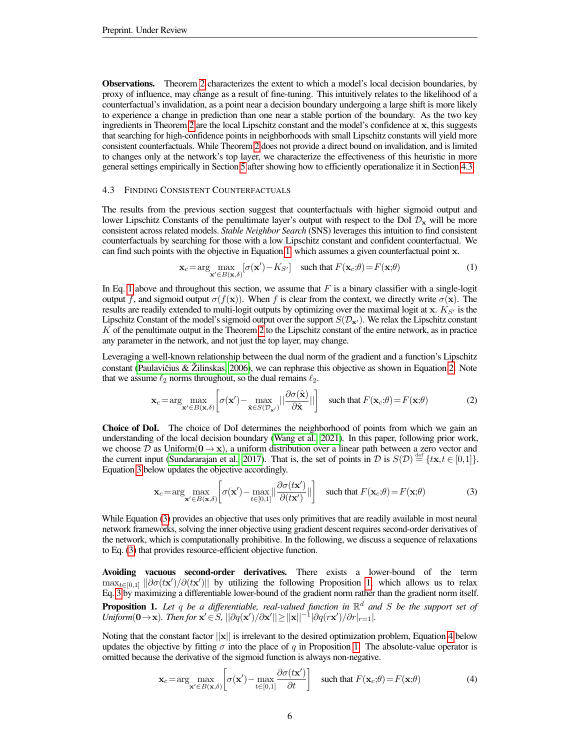Observations. Theorem [2](#page-4-0) characterizes the extent to which a model's local decision boundaries, by proxy of influence, may change as a result of fine-tuning. This intuitively relates to the likelihood of a counterfactual's invalidation, as a point near a decision boundary undergoing a large shift is more likely to experience a change in prediction than one near a stable portion of the boundary. As the two key ingredients in Theorem [2](#page-4-0) are the local Lipschitz constant and the model's confidence at x, this suggests that searching for high-confidence points in neighborhoods with small Lipschitz constants will yield more consistent counterfactuals. While Theorem [2](#page-4-0) does not provide a direct bound on invalidation, and is limited to changes only at the network's top layer, we characterize the effectiveness of this heuristic in more general settings empirically in Section [5](#page-6-0) after showing how to efficiently operationalize it in Section [4.3.](#page-5-0)

### <span id="page-5-0"></span>4.3 FINDING CONSISTENT COUNTERFACTUALS

The results from the previous section suggest that counterfactuals with higher sigmoid output and lower Lipschitz Constants of the penultimate layer's output with respect to the DoI  $\mathcal{D}_x$  will be more consistent across related models. *Stable Neighbor Search* (SNS) leverages this intuition to find consistent counterfactuals by searching for those with a low Lipschitz constant and confident counterfactual. We can find such points with the objective in Equation [1,](#page-5-1) which assumes a given counterfactual point x.

<span id="page-5-2"></span><span id="page-5-1"></span>
$$
\mathbf{x}_c = \arg\max_{\mathbf{x}' \in B(\mathbf{x},\delta)} [\sigma(\mathbf{x}') - K_{S'}] \quad \text{such that } F(\mathbf{x}_c;\theta) = F(\mathbf{x};\theta)
$$
 (1)

In Eq. [1](#page-5-1) above and throughout this section, we assume that  $F$  is a binary classifier with a single-logit output f, and sigmoid output  $\sigma(f(x))$ . When f is clear from the context, we directly write  $\sigma(x)$ . The results are readily extended to multi-logit outputs by optimizing over the maximal logit at x.  $K_{S}$  is the Lipschitz Constant of the model's sigmoid output over the support  $S(\mathcal{D}_{x})$ . We relax the Lipschitz constant  $K$  of the penultimate output in the Theorem [2](#page-4-0) to the Lipschitz constant of the entire network, as in practice any parameter in the network, and not just the top layer, may change.

Leveraging a well-known relationship between the dual norm of the gradient and a function's Lipschitz constant (Paulavičius  $&$  Zilinskas, [2006\)](#page-12-14), we can rephrase this objective as shown in Equation [2.](#page-5-2) Note that we assume  $\ell_2$  norms throughout, so the dual remains  $\ell_2$ .

$$
\mathbf{x}_c = \arg\max_{\mathbf{x}' \in B(\mathbf{x},\delta)} \left[ \sigma(\mathbf{x}') - \max_{\hat{\mathbf{x}} \in S(\mathcal{D}_{\mathbf{x}'})} ||\frac{\partial \sigma(\hat{\mathbf{x}})}{\partial \hat{\mathbf{x}}}|| \right] \quad \text{such that } F(\mathbf{x}_c;\theta) = F(\mathbf{x};\theta) \tag{2}
$$

Choice of DoI. The choice of DoI determines the neighborhood of points from which we gain an understanding of the local decision boundary [\(Wang et al., 2021\)](#page-13-1). In this paper, following prior work, we choose  $\mathcal D$  as Uniform $(0 \to x)$ , a uniform distribution over a linear path between a zero vector and the current input [\(Sundararajan et al., 2017\)](#page-12-12). That is, the set of points in  $D$  is  $S(D) \stackrel{\text{def}}{=} {\{xx, t \in [0,1]\}}$ . Equation [3](#page-5-3) below updates the objective accordingly.

<span id="page-5-3"></span>
$$
\mathbf{x}_c = \arg\max_{\mathbf{x}' \in B(\mathbf{x},\delta)} \left[ \sigma(\mathbf{x}') - \max_{t \in [0,1]} ||\frac{\partial \sigma(t\mathbf{x}')}{\partial (t\mathbf{x}')}|| \right] \quad \text{such that } F(\mathbf{x}_c;\theta) = F(\mathbf{x};\theta) \tag{3}
$$

While Equation [\(3\)](#page-5-3) provides an objective that uses only primitives that are readily available in most neural network frameworks, solving the inner objective using gradient descent requires second-order derivatives of the network, which is computationally prohibitive. In the following, we discuss a sequence of relaxations to Eq. [\(3\)](#page-5-3) that provides resource-efficient objective function.

<span id="page-5-4"></span>Avoiding vacuous second-order derivatives. There exists a lower-bound of the term  $\max_{t \in [0,1]} ||\partial \sigma(t\mathbf{x}')/\partial(t\mathbf{x}')||$  by utilizing the following Proposition [1,](#page-5-4) which allows us to relax Eq. [3](#page-5-3) by maximizing a differentiable lower-bound of the gradient norm rather than the gradient norm itself. Proposition 1. *Let* q *be a differentiable, real-valued function in* R <sup>d</sup> *and* S *be the support set of* Uniform( $0 \rightarrow x$ ). Then for  $x' \in S$ ,  $||\partial q(x') / \partial x'|| \ge ||x||^{-1} |\partial q(rx') / \partial r|_{r=1}$ .

Noting that the constant factor  $||\mathbf{x}||$  is irrelevant to the desired optimization problem, Equation [4](#page-5-5) below updates the objective by fitting  $\sigma$  into the place of q in Proposition [1.](#page-5-4) The absolute-value operator is omitted because the derivative of the sigmoid function is always non-negative.

<span id="page-5-5"></span>
$$
\mathbf{x}_c = \arg\max_{\mathbf{x}' \in B(\mathbf{x},\delta)} \left[ \sigma(\mathbf{x}') - \max_{t \in [0,1]} \frac{\partial \sigma(t\mathbf{x}')}{\partial t} \right] \quad \text{such that } F(\mathbf{x}_c;\theta) = F(\mathbf{x};\theta) \tag{4}
$$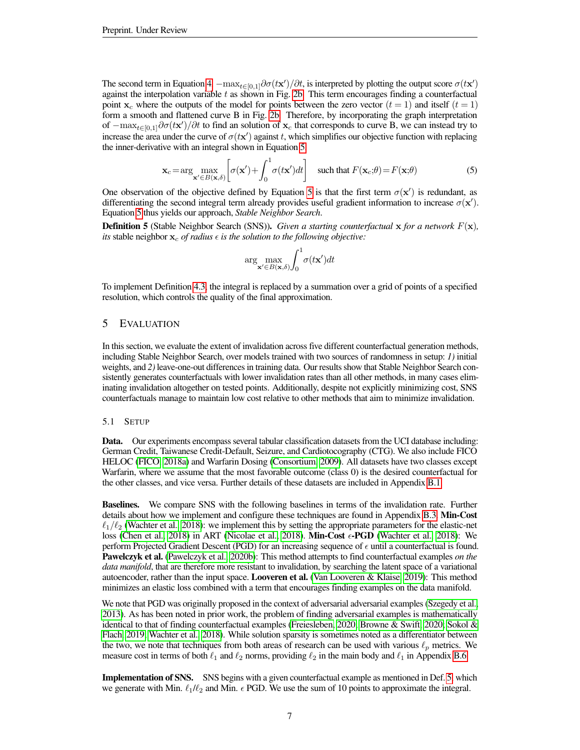The second term in Equation [4,](#page-5-5)  $-\max_{t\in[0,1]}\partial\sigma(tx')/\partial t$ , is interpreted by plotting the output score  $\sigma(tx')$ against the interpolation variable  $t$  as shown in Fig. [2b.](#page-4-2) This term encourages finding a counterfactual point  $x_c$  where the outputs of the model for points between the zero vector  $(t = 1)$  and itself  $(t = 1)$ form a smooth and flattened curve B in Fig. [2b.](#page-4-2) Therefore, by incorporating the graph interpretation of  $-\max_{t\in[0,1]} \partial \sigma(t\mathbf{x}')/\partial t$  to find an solution of  $\mathbf{x}_c$  that corresponds to curve B, we can instead try to increase the area under the curve of  $\sigma(t\mathbf{x}')$  against t, which simplifies our objective function with replacing the inner-derivative with an integral shown in Equation [5.](#page-6-2)

$$
\mathbf{x}_c = \arg\max_{\mathbf{x}' \in B(\mathbf{x},\delta)} \left[ \sigma(\mathbf{x}') + \int_0^1 \sigma(t\mathbf{x}')dt \right] \quad \text{such that } F(\mathbf{x}_c;\theta) = F(\mathbf{x};\theta)
$$
 (5)

One observation of the objective defined by Equation [5](#page-6-2) is that the first term  $\sigma(\mathbf{x}')$  is redundant, as differentiating the second integral term already provides useful gradient information to increase  $\sigma(\mathbf{x}')$ . Equation [5](#page-6-2) thus yields our approach, *Stable Neighbor Search*.

<span id="page-6-1"></span>Definition 5 (Stable Neighbor Search (SNS)). *Given a starting counterfactual* x *for a network* F(x)*, its* stable neighbor  $\mathbf{x}_c$  *of radius*  $\epsilon$  *is the solution to the following objective:* 

<span id="page-6-2"></span>
$$
\arg\max_{\mathbf{x}'\in B(\mathbf{x},\delta)} \int_0^1 \sigma(t\mathbf{x}')dt
$$

To implement Definition [4.3,](#page-5-0) the integral is replaced by a summation over a grid of points of a specified resolution, which controls the quality of the final approximation.

# <span id="page-6-0"></span>5 EVALUATION

In this section, we evaluate the extent of invalidation across five different counterfactual generation methods, including Stable Neighbor Search, over models trained with two sources of randomness in setup: *1)* initial weights, and 2) leave-one-out differences in training data. Our results show that Stable Neighbor Search consistently generates counterfactuals with lower invalidation rates than all other methods, in many cases eliminating invalidation altogether on tested points. Additionally, despite not explicitly minimizing cost, SNS counterfactuals manage to maintain low cost relative to other methods that aim to minimize invalidation.

#### 5.1 SETUP

Data. Our experiments encompass several tabular classification datasets from the UCI database including: German Credit, Taiwanese Credit-Default, Seizure, and Cardiotocography (CTG). We also include FICO HELOC [\(FICO, 2018a\)](#page-10-9) and Warfarin Dosing [\(Consortium, 2009\)](#page-10-10). All datasets have two classes except Warfarin, where we assume that the most favorable outcome (class 0) is the desired counterfactual for the other classes, and vice versa. Further details of these datasets are included in Appendix [B.1.](#page-17-0)

Baselines. We compare SNS with the following baselines in terms of the invalidation rate. Further details about how we implement and configure these techniques are found in Appendix [B.3.](#page-18-0) Min-Cost  $\ell_1/\ell_2$  [\(Wachter et al., 2018\)](#page-12-2): we implement this by setting the appropriate parameters for the elastic-net loss [\(Chen et al., 2018\)](#page-10-11) in ART [\(Nicolae et al., 2018\)](#page-12-15). Min-Cost  $\epsilon$ -PGD [\(Wachter et al., 2018\)](#page-12-2): We perform Projected Gradient Descent (PGD) for an increasing sequence of  $\epsilon$  until a counterfactual is found. Pawelczyk et al. [\(Pawelczyk et al., 2020b\)](#page-12-9): This method attempts to find counterfactual examples *on the data manifold*, that are therefore more resistant to invalidation, by searching the latent space of a variational autoencoder, rather than the input space. Looveren et al. [\(Van Looveren & Klaise, 2019\)](#page-12-3): This method minimizes an elastic loss combined with a term that encourages finding examples on the data manifold.

We note that PGD was originally proposed in the context of adversarial adversarial examples [\(Szegedy et al.,](#page-12-16) [2013\)](#page-12-16). As has been noted in prior work, the problem of finding adversarial examples is mathematically identical to that of finding counterfactual examples [\(Freiesleben, 2020;](#page-10-12) [Browne & Swift, 2020;](#page-9-6) [Sokol &](#page-12-17) [Flach, 2019;](#page-12-17) [Wachter et al., 2018\)](#page-12-2). While solution sparsity is sometimes noted as a differentiator between the two, we note that techniques from both areas of research can be used with various  $\ell_p$  metrics. We measure cost in terms of both  $\ell_1$  and  $\ell_2$  norms, providing  $\ell_2$  in the main body and  $\ell_1$  in Appendix [B.6.](#page-19-0)

Implementation of SNS. SNS begins with a given counterfactual example as mentioned in Def. [5,](#page-6-1) which we generate with Min.  $\ell_1/\ell_2$  and Min.  $\epsilon$  PGD. We use the sum of 10 points to approximate the integral.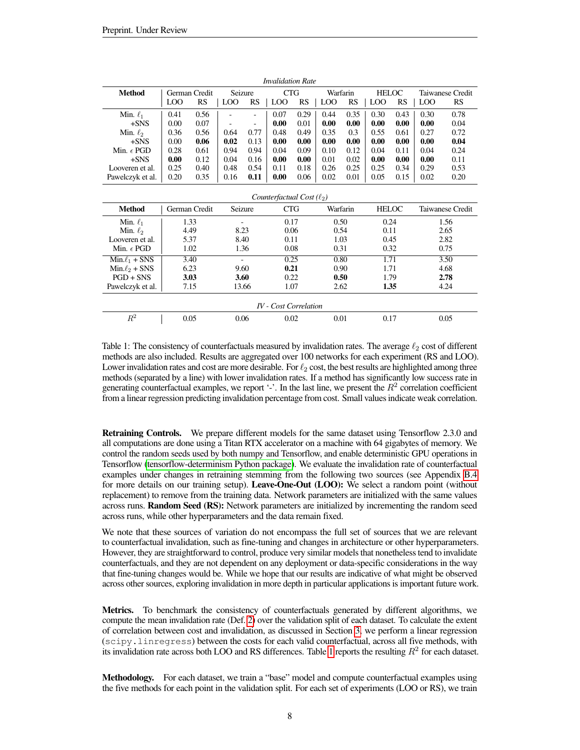<span id="page-7-0"></span>

| <b>Invalidation Rate</b>       |               |               |                          |                          |            |           |          |           |              |           |                  |                  |
|--------------------------------|---------------|---------------|--------------------------|--------------------------|------------|-----------|----------|-----------|--------------|-----------|------------------|------------------|
| <b>Method</b>                  | German Credit |               | Seizure                  |                          | <b>CTG</b> |           | Warfarin |           | HELOC        |           | Taiwanese Credit |                  |
|                                | LOO           | <b>RS</b>     | LOO                      | <b>RS</b>                | LOO        | <b>RS</b> | LOO      | <b>RS</b> | <b>LOO</b>   | <b>RS</b> | LOO              | <b>RS</b>        |
| Min. $\ell_1$                  | 0.41          | 0.56          | $\overline{\phantom{0}}$ | $\overline{\phantom{0}}$ | 0.07       | 0.29      | 0.44     | 0.35      | 0.30         | 0.43      | 0.30             | 0.78             |
| $+$ SNS                        | 0.00          | 0.07          |                          |                          | 0.00       | 0.01      | 0.00     | 0.00      | 0.00         | 0.00      | 0.00             | 0.04             |
| Min. $\ell_2$                  | 0.36          | 0.56          | 0.64                     | 0.77                     | 0.48       | 0.49      | 0.35     | 0.3       | 0.55         | 0.61      | 0.27             | 0.72             |
| $+SNS$                         | 0.00          | 0.06          | 0.02                     | 0.13                     | 0.00       | 0.00      | 0.00     | 0.00      | 0.00         | 0.00      | 0.00             | 0.04             |
| Min. $\epsilon$ PGD            | 0.28          | 0.61          | 0.94                     | 0.94                     | 0.04       | 0.09      | 0.10     | 0.12      | 0.04         | 0.11      | 0.04             | 0.24             |
| $+$ SNS                        | 0.00          | 0.12          | 0.04                     | 0.16                     | 0.00       | 0.00      | 0.01     | 0.02      | 0.00         | 0.00      | 0.00             | 0.11             |
| Looveren et al.                | 0.25          | 0.40          | 0.48                     | 0.54                     | 0.11       | 0.18      | 0.26     | 0.25      | 0.25         | 0.34      | 0.29             | 0.53             |
| Pawelczyk et al.               | 0.20          | 0.35          | 0.16                     | 0.11                     | 0.00       | 0.06      | 0.02     | 0.01      | 0.05         | 0.15      | 0.02             | 0.20             |
|                                |               |               |                          |                          |            |           |          |           |              |           |                  |                  |
| Counterfactual Cost $(\ell_2)$ |               |               |                          |                          |            |           |          |           |              |           |                  |                  |
| <b>Method</b>                  |               | German Credit | Seizure                  |                          | <b>CTG</b> |           | Warfarin |           | <b>HELOC</b> |           |                  | Taiwanese Credit |
| Min. $\ell_1$                  |               | 1.33          |                          |                          | 0.17       |           | 0.50     |           | 0.24         |           |                  | 1.56             |
| Min. $\ell_2$                  | 4.49          |               | 8.23                     |                          | 0.06       |           | 0.54     |           | 0.11         |           |                  | 2.65             |
| Looveren et al.                | 5.37          |               | 8.40                     |                          | 0.11       |           | 1.03     |           | 0.45         |           |                  | 2.82             |
| Min. $\epsilon$ PGD            | 1.02          |               | 1.36                     |                          | 0.08       |           | 0.31     |           | 0.32         |           | 0.75             |                  |
| $Min.\ell_1 + SNS$             | 3.40          |               | ÷.                       |                          | 0.25       |           | 0.80     |           | 1.71         |           | 3.50             |                  |
| $Min.\ell_2 + SNS$             | 6.23          |               | 9.60                     |                          | 0.21       |           | 0.90     |           | 1.71         |           | 4.68             |                  |
| $PGD + SNS$                    | 3.03          |               | 3.60                     |                          | 0.22       |           | 0.50     |           | 1.79         |           | 2.78             |                  |
| Pawelczyk et al.               | 7.15          |               | 13.66                    |                          | 1.07       |           | 2.62     |           | 1.35         |           | 4.24             |                  |
| <b>IV</b> - Cost Correlation   |               |               |                          |                          |            |           |          |           |              |           |                  |                  |
| $R^2$                          |               | 0.05          | 0.06                     |                          | 0.02       |           | 0.01     |           | 0.17         |           |                  | 0.05             |

Table 1: The consistency of counterfactuals measured by invalidation rates. The average  $\ell_2$  cost of different methods are also included. Results are aggregated over 100 networks for each experiment (RS and LOO). Lower invalidation rates and cost are more desirable. For  $\ell_2$  cost, the best results are highlighted among three methods (separated by a line) with lower invalidation rates. If a method has significantly low success rate in generating counterfactual examples, we report '-'. In the last line, we present the  $R^2$  correlation coefficient from a linear regression predicting invalidation percentage from cost. Small values indicate weak correlation.

Retraining Controls. We prepare different models for the same dataset using Tensorflow 2.3.0 and all computations are done using a Titan RTX accelerator on a machine with 64 gigabytes of memory. We control the random seeds used by both numpy and Tensorflow, and enable deterministic GPU operations in Tensorflow [\(tensorflow-determinism Python package\)](#page-12-18). We evaluate the invalidation rate of counterfactual examples under changes in retraining stemming from the following two sources (see Appendix [B.4](#page-19-1) for more details on our training setup). Leave-One-Out (LOO): We select a random point (without replacement) to remove from the training data. Network parameters are initialized with the same values across runs. Random Seed (RS): Network parameters are initialized by incrementing the random seed across runs, while other hyperparameters and the data remain fixed.

We note that these sources of variation do not encompass the full set of sources that we are relevant to counterfactual invalidation, such as fine-tuning and changes in architecture or other hyperparameters. However, they are straightforward to control, produce very similar models that nonetheless tend to invalidate counterfactuals, and they are not dependent on any deployment or data-specific considerations in the way that fine-tuning changes would be. While we hope that our results are indicative of what might be observed across other sources, exploring invalidation in more depth in particular applications is important future work.

Metrics. To benchmark the consistency of counterfactuals generated by different algorithms, we compute the mean invalidation rate (Def. [2\)](#page-2-2) over the validation split of each dataset. To calculate the extent of correlation between cost and invalidation, as discussed in Section [3,](#page-2-0) we perform a linear regression (scipy.linregress) between the costs for each valid counterfactual, across all five methods, with its invalidation rate across both LOO and RS differences. Table [1](#page-7-0) reports the resulting  $R^2$  for each dataset.

Methodology. For each dataset, we train a "base" model and compute counterfactual examples using the five methods for each point in the validation split. For each set of experiments (LOO or RS), we train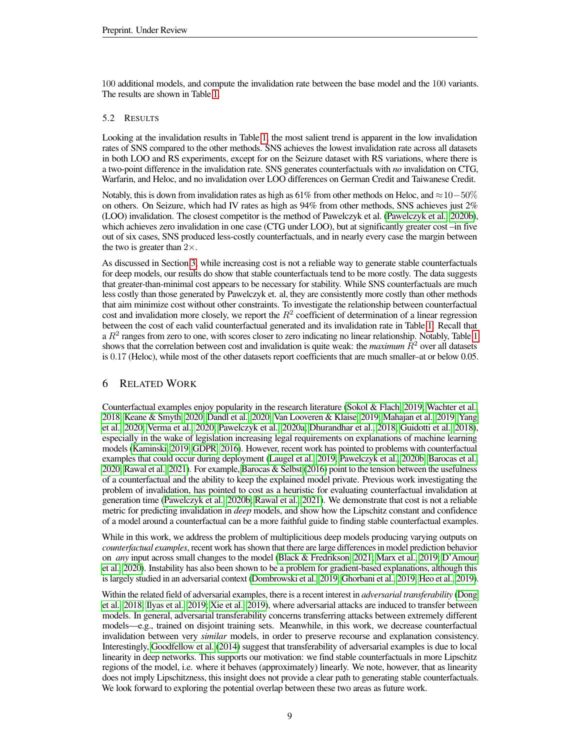100 additional models, and compute the invalidation rate between the base model and the 100 variants. The results are shown in Table [1.](#page-7-0)

# 5.2 RESULTS

Looking at the invalidation results in Table [1,](#page-7-0) the most salient trend is apparent in the low invalidation rates of SNS compared to the other methods. SNS achieves the lowest invalidation rate across all datasets in both LOO and RS experiments, except for on the Seizure dataset with RS variations, where there is a two-point difference in the invalidation rate. SNS generates counterfactuals with *no* invalidation on CTG, Warfarin, and Heloc, and no invalidation over LOO differences on German Credit and Taiwanese Credit.

Notably, this is down from invalidation rates as high as 61% from other methods on Heloc, and  $\approx$  10−50% on others. On Seizure, which had IV rates as high as 94% from other methods, SNS achieves just 2% (LOO) invalidation. The closest competitor is the method of Pawelczyk et al. [\(Pawelczyk et al., 2020b\)](#page-12-9), which achieves zero invalidation in one case (CTG under LOO), but at significantly greater cost –in five out of six cases, SNS produced less-costly counterfactuals, and in nearly every case the margin between the two is greater than  $2\times$ .

As discussed in Section [3,](#page-2-0) while increasing cost is not a reliable way to generate stable counterfactuals for deep models, our results do show that stable counterfactuals tend to be more costly. The data suggests that greater-than-minimal cost appears to be necessary for stability. While SNS counterfactuals are much less costly than those generated by Pawelczyk et. al, they are consistently more costly than other methods that aim minimize cost without other constraints. To investigate the relationship between counterfactual cost and invalidation more closely, we report the  $R^2$  coefficient of determination of a linear regression between the cost of each valid counterfactual generated and its invalidation rate in Table [1.](#page-7-0) Recall that a  $R^2$  ranges from zero to one, with scores closer to zero indicating no linear relationship. Notably, Table [1](#page-7-0) shows that the correlation between cost and invalidation is quite weak: the *maximum*  $R<sup>2</sup>$  over all datasets is 0.17 (Heloc), while most of the other datasets report coefficients that are much smaller–at or below 0.05.

# 6 RELATED WORK

Counterfactual examples enjoy popularity in the research literature [\(Sokol & Flach, 2019;](#page-12-17) [Wachter et al.,](#page-12-2) [2018;](#page-12-2) [Keane & Smyth, 2020;](#page-11-3) [Dandl et al., 2020;](#page-10-5) [Van Looveren & Klaise, 2019;](#page-12-3) [Mahajan et al., 2019;](#page-11-1) [Yang](#page-13-0) [et al., 2020;](#page-13-0) [Verma et al., 2020;](#page-12-4) [Pawelczyk et al., 2020a;](#page-12-8) [Dhurandhar et al., 2018;](#page-10-13) [Guidotti et al., 2018\)](#page-10-6), especially in the wake of legislation increasing legal requirements on explanations of machine learning models [\(Kaminski, 2019;](#page-11-12) [GDPR, 2016\)](#page-10-14). However, recent work has pointed to problems with counterfactual examples that could occur during deployment [\(Laugel et al., 2019;](#page-11-13) [Pawelczyk et al., 2020b;](#page-12-9) [Barocas et al.,](#page-9-7) [2020;](#page-9-7) [Rawal et al., 2021\)](#page-12-13). For example, [Barocas & Selbst](#page-9-4) [\(2016\)](#page-9-4) point to the tension between the usefulness of a counterfactual and the ability to keep the explained model private. Previous work investigating the problem of invalidation, has pointed to cost as a heuristic for evaluating counterfactual invalidation at generation time [\(Pawelczyk et al., 2020b;](#page-12-9) [Rawal et al., 2021\)](#page-12-13). We demonstrate that cost is not a reliable metric for predicting invalidation in *deep* models, and show how the Lipschitz constant and confidence of a model around a counterfactual can be a more faithful guide to finding stable counterfactual examples.

While in this work, we address the problem of multiplicitious deep models producing varying outputs on *counterfactual examples*, recent work has shown that there are large differences in model prediction behavior on *any* input across small changes to the model [\(Black & Fredrikson, 2021;](#page-9-8) [Marx et al., 2019;](#page-11-14) [D'Amour](#page-10-15) [et al., 2020\)](#page-10-15). Instability has also been shown to be a problem for gradient-based explanations, although this is largely studied in an adversarial context [\(Dombrowski et al., 2019;](#page-10-4) [Ghorbani et al., 2019;](#page-10-16) [Heo et al., 2019\)](#page-11-15).

Within the related field of adversarial examples, there is a recent interest in *adversarial transferability* [\(Dong](#page-10-17) [et al., 2018;](#page-10-17) [Ilyas et al., 2019;](#page-11-16) [Xie et al., 2019\)](#page-13-2), where adversarial attacks are induced to transfer between models. In general, adversarial transferability concerns transferring attacks between extremely different models—e.g., trained on disjoint training sets. Meanwhile, in this work, we decrease counterfactual invalidation between very *similar* models, in order to preserve recourse and explanation consistency. Interestingly, [Goodfellow et al.](#page-10-18) [\(2014\)](#page-10-18) suggest that transferability of adversarial examples is due to local linearity in deep networks. This supports our motivation: we find stable counterfactuals in more Lipschitz regions of the model, i.e. where it behaves (approximately) linearly. We note, however, that as linearity does not imply Lipschitzness, this insight does not provide a clear path to generating stable counterfactuals. We look forward to exploring the potential overlap between these two areas as future work.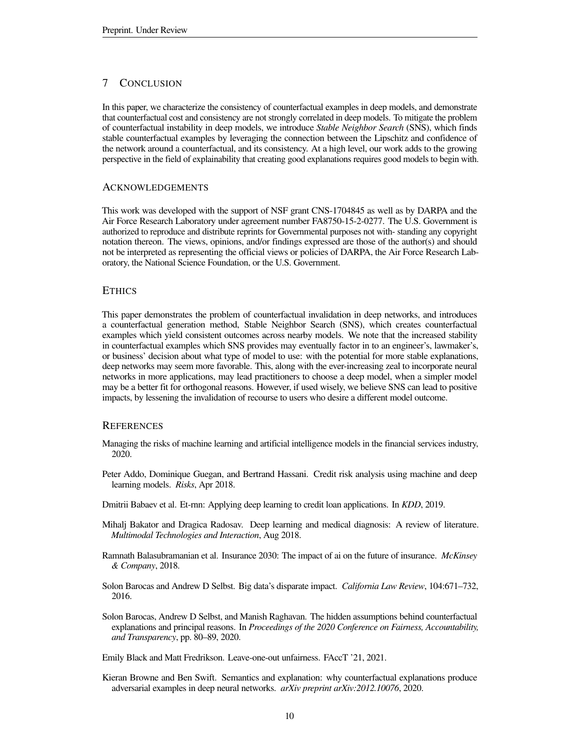# 7 CONCLUSION

In this paper, we characterize the consistency of counterfactual examples in deep models, and demonstrate that counterfactual cost and consistency are not strongly correlated in deep models. To mitigate the problem of counterfactual instability in deep models, we introduce *Stable Neighbor Search* (SNS), which finds stable counterfactual examples by leveraging the connection between the Lipschitz and confidence of the network around a counterfactual, and its consistency. At a high level, our work adds to the growing perspective in the field of explainability that creating good explanations requires good models to begin with.

# ACKNOWLEDGEMENTS

This work was developed with the support of NSF grant CNS-1704845 as well as by DARPA and the Air Force Research Laboratory under agreement number FA8750-15-2-0277. The U.S. Government is authorized to reproduce and distribute reprints for Governmental purposes not with- standing any copyright notation thereon. The views, opinions, and/or findings expressed are those of the author(s) and should not be interpreted as representing the official views or policies of DARPA, the Air Force Research Laboratory, the National Science Foundation, or the U.S. Government.

# **ETHICS**

This paper demonstrates the problem of counterfactual invalidation in deep networks, and introduces a counterfactual generation method, Stable Neighbor Search (SNS), which creates counterfactual examples which yield consistent outcomes across nearby models. We note that the increased stability in counterfactual examples which SNS provides may eventually factor in to an engineer's, lawmaker's, or business' decision about what type of model to use: with the potential for more stable explanations, deep networks may seem more favorable. This, along with the ever-increasing zeal to incorporate neural networks in more applications, may lead practitioners to choose a deep model, when a simpler model may be a better fit for orthogonal reasons. However, if used wisely, we believe SNS can lead to positive impacts, by lessening the invalidation of recourse to users who desire a different model outcome.

# **REFERENCES**

- <span id="page-9-5"></span>Managing the risks of machine learning and artificial intelligence models in the financial services industry, 2020.
- <span id="page-9-2"></span>Peter Addo, Dominique Guegan, and Bertrand Hassani. Credit risk analysis using machine and deep learning models. *Risks*, Apr 2018.
- <span id="page-9-1"></span>Dmitrii Babaev et al. Et-rnn: Applying deep learning to credit loan applications. In *KDD*, 2019.
- <span id="page-9-0"></span>Mihalj Bakator and Dragica Radosav. Deep learning and medical diagnosis: A review of literature. *Multimodal Technologies and Interaction*, Aug 2018.
- <span id="page-9-3"></span>Ramnath Balasubramanian et al. Insurance 2030: The impact of ai on the future of insurance. *McKinsey & Company*, 2018.
- <span id="page-9-4"></span>Solon Barocas and Andrew D Selbst. Big data's disparate impact. *California Law Review*, 104:671–732, 2016.
- <span id="page-9-7"></span>Solon Barocas, Andrew D Selbst, and Manish Raghavan. The hidden assumptions behind counterfactual explanations and principal reasons. In *Proceedings of the 2020 Conference on Fairness, Accountability, and Transparency*, pp. 80–89, 2020.

<span id="page-9-8"></span>Emily Black and Matt Fredrikson. Leave-one-out unfairness. FAccT '21, 2021.

<span id="page-9-6"></span>Kieran Browne and Ben Swift. Semantics and explanation: why counterfactual explanations produce adversarial examples in deep neural networks. *arXiv preprint arXiv:2012.10076*, 2020.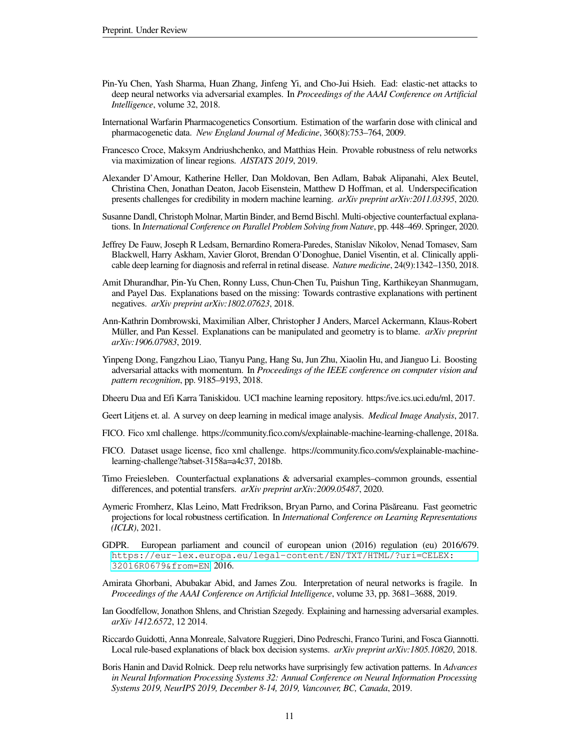- <span id="page-10-11"></span>Pin-Yu Chen, Yash Sharma, Huan Zhang, Jinfeng Yi, and Cho-Jui Hsieh. Ead: elastic-net attacks to deep neural networks via adversarial examples. In *Proceedings of the AAAI Conference on Artificial Intelligence*, volume 32, 2018.
- <span id="page-10-10"></span>International Warfarin Pharmacogenetics Consortium. Estimation of the warfarin dose with clinical and pharmacogenetic data. *New England Journal of Medicine*, 360(8):753–764, 2009.
- <span id="page-10-3"></span>Francesco Croce, Maksym Andriushchenko, and Matthias Hein. Provable robustness of relu networks via maximization of linear regions. *AISTATS 2019*, 2019.
- <span id="page-10-15"></span>Alexander D'Amour, Katherine Heller, Dan Moldovan, Ben Adlam, Babak Alipanahi, Alex Beutel, Christina Chen, Jonathan Deaton, Jacob Eisenstein, Matthew D Hoffman, et al. Underspecification presents challenges for credibility in modern machine learning. *arXiv preprint arXiv:2011.03395*, 2020.
- <span id="page-10-5"></span>Susanne Dandl, Christoph Molnar, Martin Binder, and Bernd Bischl. Multi-objective counterfactual explanations. In *International Conference on Parallel Problem Solving from Nature*, pp. 448–469. Springer, 2020.
- <span id="page-10-1"></span>Jeffrey De Fauw, Joseph R Ledsam, Bernardino Romera-Paredes, Stanislav Nikolov, Nenad Tomasev, Sam Blackwell, Harry Askham, Xavier Glorot, Brendan O'Donoghue, Daniel Visentin, et al. Clinically applicable deep learning for diagnosis and referral in retinal disease. *Nature medicine*, 24(9):1342–1350, 2018.
- <span id="page-10-13"></span>Amit Dhurandhar, Pin-Yu Chen, Ronny Luss, Chun-Chen Tu, Paishun Ting, Karthikeyan Shanmugam, and Payel Das. Explanations based on the missing: Towards contrastive explanations with pertinent negatives. *arXiv preprint arXiv:1802.07623*, 2018.
- <span id="page-10-4"></span>Ann-Kathrin Dombrowski, Maximilian Alber, Christopher J Anders, Marcel Ackermann, Klaus-Robert Müller, and Pan Kessel. Explanations can be manipulated and geometry is to blame. *arXiv preprint arXiv:1906.07983*, 2019.
- <span id="page-10-17"></span>Yinpeng Dong, Fangzhou Liao, Tianyu Pang, Hang Su, Jun Zhu, Xiaolin Hu, and Jianguo Li. Boosting adversarial attacks with momentum. In *Proceedings of the IEEE conference on computer vision and pattern recognition*, pp. 9185–9193, 2018.

<span id="page-10-2"></span>Dheeru Dua and Efi Karra Taniskidou. UCI machine learning repository. https:/ive.ics.uci.edu/ml, 2017.

- <span id="page-10-0"></span>Geert Litjens et. al. A survey on deep learning in medical image analysis. *Medical Image Analysis*, 2017.
- <span id="page-10-9"></span>FICO. Fico xml challenge. https://community.fico.com/s/explainable-machine-learning-challenge, 2018a.
- <span id="page-10-19"></span>FICO. Dataset usage license, fico xml challenge. https://community.fico.com/s/explainable-machinelearning-challenge?tabset-3158a=a4c37, 2018b.
- <span id="page-10-12"></span>Timo Freiesleben. Counterfactual explanations & adversarial examples–common grounds, essential differences, and potential transfers. *arXiv preprint arXiv:2009.05487*, 2020.
- <span id="page-10-8"></span>Aymeric Fromherz, Klas Leino, Matt Fredrikson, Bryan Parno, and Corina Păsăreanu. Fast geometric projections for local robustness certification. In *International Conference on Learning Representations (ICLR)*, 2021.
- <span id="page-10-14"></span>GDPR. European parliament and council of european union (2016) regulation (eu) 2016/679. [https://eur-lex.europa.eu/legal-content/EN/TXT/HTML/?uri=CELEX:](https://eur-lex.europa.eu/legal-content/EN/TXT/HTML/?uri=CELEX:32016R0679&from=EN) [32016R0679&from=EN](https://eur-lex.europa.eu/legal-content/EN/TXT/HTML/?uri=CELEX:32016R0679&from=EN), 2016.
- <span id="page-10-16"></span>Amirata Ghorbani, Abubakar Abid, and James Zou. Interpretation of neural networks is fragile. In *Proceedings of the AAAI Conference on Artificial Intelligence*, volume 33, pp. 3681–3688, 2019.
- <span id="page-10-18"></span>Ian Goodfellow, Jonathon Shlens, and Christian Szegedy. Explaining and harnessing adversarial examples. *arXiv 1412.6572*, 12 2014.
- <span id="page-10-6"></span>Riccardo Guidotti, Anna Monreale, Salvatore Ruggieri, Dino Pedreschi, Franco Turini, and Fosca Giannotti. Local rule-based explanations of black box decision systems. *arXiv preprint arXiv:1805.10820*, 2018.
- <span id="page-10-7"></span>Boris Hanin and David Rolnick. Deep relu networks have surprisingly few activation patterns. In *Advances in Neural Information Processing Systems 32: Annual Conference on Neural Information Processing Systems 2019, NeurIPS 2019, December 8-14, 2019, Vancouver, BC, Canada*, 2019.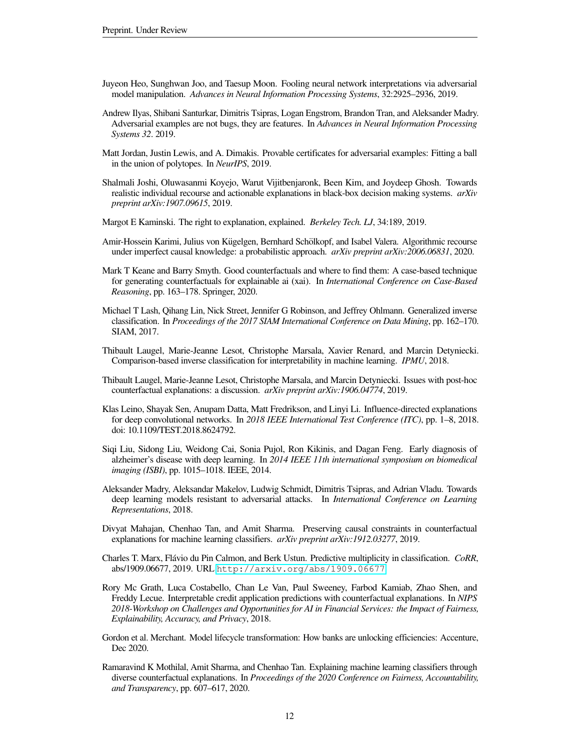- <span id="page-11-15"></span>Juyeon Heo, Sunghwan Joo, and Taesup Moon. Fooling neural network interpretations via adversarial model manipulation. *Advances in Neural Information Processing Systems*, 32:2925–2936, 2019.
- <span id="page-11-16"></span>Andrew Ilyas, Shibani Santurkar, Dimitris Tsipras, Logan Engstrom, Brandon Tran, and Aleksander Madry. Adversarial examples are not bugs, they are features. In *Advances in Neural Information Processing Systems 32*. 2019.
- <span id="page-11-10"></span>Matt Jordan, Justin Lewis, and A. Dimakis. Provable certificates for adversarial examples: Fitting a ball in the union of polytopes. In *NeurIPS*, 2019.
- <span id="page-11-8"></span>Shalmali Joshi, Oluwasanmi Koyejo, Warut Vijitbenjaronk, Been Kim, and Joydeep Ghosh. Towards realistic individual recourse and actionable explanations in black-box decision making systems. *arXiv preprint arXiv:1907.09615*, 2019.
- <span id="page-11-12"></span>Margot E Kaminski. The right to explanation, explained. *Berkeley Tech. LJ*, 34:189, 2019.
- <span id="page-11-4"></span>Amir-Hossein Karimi, Julius von Kügelgen, Bernhard Schölkopf, and Isabel Valera. Algorithmic recourse under imperfect causal knowledge: a probabilistic approach. *arXiv preprint arXiv:2006.06831*, 2020.
- <span id="page-11-3"></span>Mark T Keane and Barry Smyth. Good counterfactuals and where to find them: A case-based technique for generating counterfactuals for explainable ai (xai). In *International Conference on Case-Based Reasoning*, pp. 163–178. Springer, 2020.
- <span id="page-11-7"></span>Michael T Lash, Qihang Lin, Nick Street, Jennifer G Robinson, and Jeffrey Ohlmann. Generalized inverse classification. In *Proceedings of the 2017 SIAM International Conference on Data Mining*, pp. 162–170. SIAM, 2017.
- <span id="page-11-2"></span>Thibault Laugel, Marie-Jeanne Lesot, Christophe Marsala, Xavier Renard, and Marcin Detyniecki. Comparison-based inverse classification for interpretability in machine learning. *IPMU*, 2018.
- <span id="page-11-13"></span>Thibault Laugel, Marie-Jeanne Lesot, Christophe Marsala, and Marcin Detyniecki. Issues with post-hoc counterfactual explanations: a discussion. *arXiv preprint arXiv:1906.04774*, 2019.
- <span id="page-11-11"></span>Klas Leino, Shayak Sen, Anupam Datta, Matt Fredrikson, and Linyi Li. Influence-directed explanations for deep convolutional networks. In *2018 IEEE International Test Conference (ITC)*, pp. 1–8, 2018. doi: 10.1109/TEST.2018.8624792.
- <span id="page-11-0"></span>Siqi Liu, Sidong Liu, Weidong Cai, Sonia Pujol, Ron Kikinis, and Dagan Feng. Early diagnosis of alzheimer's disease with deep learning. In *2014 IEEE 11th international symposium on biomedical imaging (ISBI)*, pp. 1015–1018. IEEE, 2014.
- <span id="page-11-17"></span>Aleksander Madry, Aleksandar Makelov, Ludwig Schmidt, Dimitris Tsipras, and Adrian Vladu. Towards deep learning models resistant to adversarial attacks. In *International Conference on Learning Representations*, 2018.
- <span id="page-11-1"></span>Divyat Mahajan, Chenhao Tan, and Amit Sharma. Preserving causal constraints in counterfactual explanations for machine learning classifiers. *arXiv preprint arXiv:1912.03277*, 2019.
- <span id="page-11-14"></span>Charles T. Marx, Flávio du Pin Calmon, and Berk Ustun. Predictive multiplicity in classification. CoRR, abs/1909.06677, 2019. URL <http://arxiv.org/abs/1909.06677>.
- <span id="page-11-5"></span>Rory Mc Grath, Luca Costabello, Chan Le Van, Paul Sweeney, Farbod Kamiab, Zhao Shen, and Freddy Lecue. Interpretable credit application predictions with counterfactual explanations. In *NIPS 2018-Workshop on Challenges and Opportunities for AI in Financial Services: the Impact of Fairness, Explainability, Accuracy, and Privacy*, 2018.
- <span id="page-11-6"></span>Gordon et al. Merchant. Model lifecycle transformation: How banks are unlocking efficiencies: Accenture, Dec 2020.
- <span id="page-11-9"></span>Ramaravind K Mothilal, Amit Sharma, and Chenhao Tan. Explaining machine learning classifiers through diverse counterfactual explanations. In *Proceedings of the 2020 Conference on Fairness, Accountability, and Transparency*, pp. 607–617, 2020.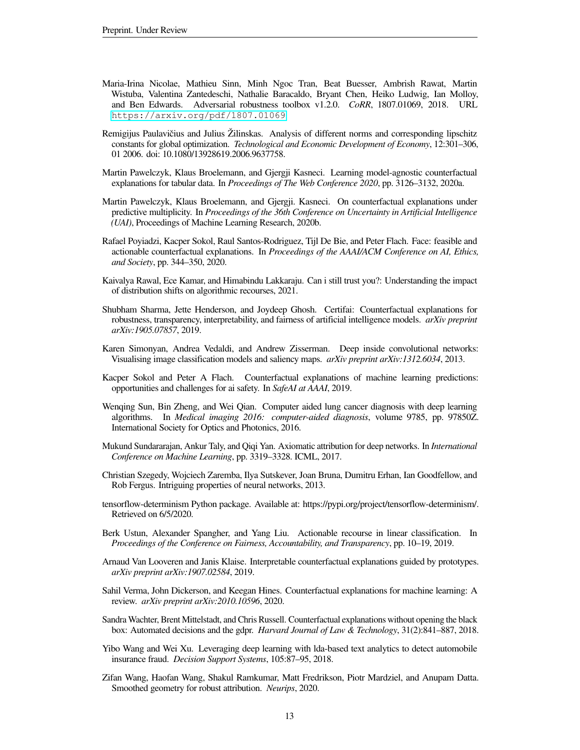- <span id="page-12-15"></span>Maria-Irina Nicolae, Mathieu Sinn, Minh Ngoc Tran, Beat Buesser, Ambrish Rawat, Martin Wistuba, Valentina Zantedeschi, Nathalie Baracaldo, Bryant Chen, Heiko Ludwig, Ian Molloy, and Ben Edwards. Adversarial robustness toolbox v1.2.0. *CoRR*, 1807.01069, 2018. URL <https://arxiv.org/pdf/1807.01069>.
- <span id="page-12-14"></span>Remigijus Paulavičius and Julius Žilinskas. Analysis of different norms and corresponding lipschitz constants for global optimization. *Technological and Economic Development of Economy*, 12:301–306, 01 2006. doi: 10.1080/13928619.2006.9637758.
- <span id="page-12-8"></span>Martin Pawelczyk, Klaus Broelemann, and Gjergji Kasneci. Learning model-agnostic counterfactual explanations for tabular data. In *Proceedings of The Web Conference 2020*, pp. 3126–3132, 2020a.
- <span id="page-12-9"></span>Martin Pawelczyk, Klaus Broelemann, and Gjergji. Kasneci. On counterfactual explanations under predictive multiplicity. In *Proceedings of the 36th Conference on Uncertainty in Artificial Intelligence (UAI)*, Proceedings of Machine Learning Research, 2020b.
- <span id="page-12-7"></span>Rafael Poyiadzi, Kacper Sokol, Raul Santos-Rodriguez, Tijl De Bie, and Peter Flach. Face: feasible and actionable counterfactual explanations. In *Proceedings of the AAAI/ACM Conference on AI, Ethics, and Society*, pp. 344–350, 2020.
- <span id="page-12-13"></span>Kaivalya Rawal, Ece Kamar, and Himabindu Lakkaraju. Can i still trust you?: Understanding the impact of distribution shifts on algorithmic recourses, 2021.
- <span id="page-12-6"></span>Shubham Sharma, Jette Henderson, and Joydeep Ghosh. Certifai: Counterfactual explanations for robustness, transparency, interpretability, and fairness of artificial intelligence models. *arXiv preprint arXiv:1905.07857*, 2019.
- <span id="page-12-11"></span>Karen Simonyan, Andrea Vedaldi, and Andrew Zisserman. Deep inside convolutional networks: Visualising image classification models and saliency maps. *arXiv preprint arXiv:1312.6034*, 2013.
- <span id="page-12-17"></span>Kacper Sokol and Peter A Flach. Counterfactual explanations of machine learning predictions: opportunities and challenges for ai safety. In *SafeAI at AAAI*, 2019.
- <span id="page-12-0"></span>Wenqing Sun, Bin Zheng, and Wei Qian. Computer aided lung cancer diagnosis with deep learning algorithms. In *Medical imaging 2016: computer-aided diagnosis*, volume 9785, pp. 97850Z. International Society for Optics and Photonics, 2016.
- <span id="page-12-12"></span>Mukund Sundararajan, Ankur Taly, and Qiqi Yan. Axiomatic attribution for deep networks. In *International Conference on Machine Learning*, pp. 3319–3328. ICML, 2017.
- <span id="page-12-16"></span>Christian Szegedy, Wojciech Zaremba, Ilya Sutskever, Joan Bruna, Dumitru Erhan, Ian Goodfellow, and Rob Fergus. Intriguing properties of neural networks, 2013.
- <span id="page-12-18"></span>tensorflow-determinism Python package. Available at: https://pypi.org/project/tensorflow-determinism/. Retrieved on 6/5/2020.
- <span id="page-12-5"></span>Berk Ustun, Alexander Spangher, and Yang Liu. Actionable recourse in linear classification. In *Proceedings of the Conference on Fairness, Accountability, and Transparency*, pp. 10–19, 2019.
- <span id="page-12-3"></span>Arnaud Van Looveren and Janis Klaise. Interpretable counterfactual explanations guided by prototypes. *arXiv preprint arXiv:1907.02584*, 2019.
- <span id="page-12-4"></span>Sahil Verma, John Dickerson, and Keegan Hines. Counterfactual explanations for machine learning: A review. *arXiv preprint arXiv:2010.10596*, 2020.
- <span id="page-12-2"></span>Sandra Wachter, Brent Mittelstadt, and Chris Russell. Counterfactual explanations without opening the black box: Automated decisions and the gdpr. *Harvard Journal of Law & Technology*, 31(2):841–887, 2018.
- <span id="page-12-1"></span>Yibo Wang and Wei Xu. Leveraging deep learning with lda-based text analytics to detect automobile insurance fraud. *Decision Support Systems*, 105:87–95, 2018.
- <span id="page-12-10"></span>Zifan Wang, Haofan Wang, Shakul Ramkumar, Matt Fredrikson, Piotr Mardziel, and Anupam Datta. Smoothed geometry for robust attribution. *Neurips*, 2020.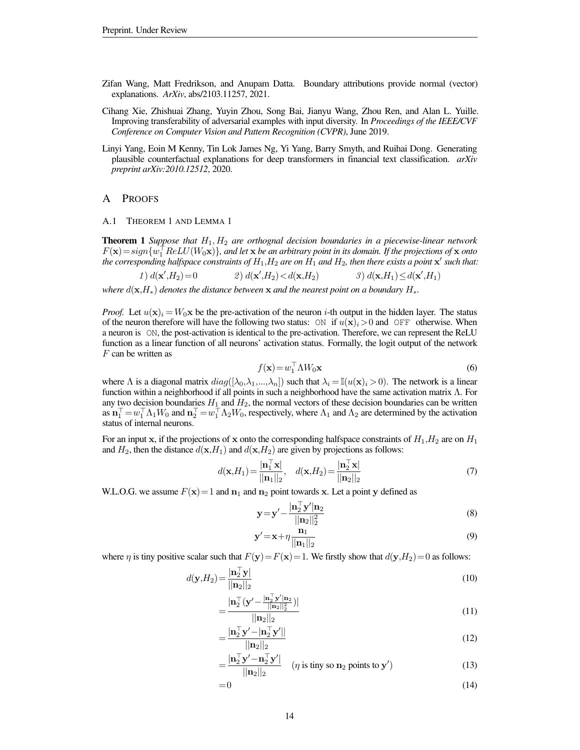- <span id="page-13-1"></span>Zifan Wang, Matt Fredrikson, and Anupam Datta. Boundary attributions provide normal (vector) explanations. *ArXiv*, abs/2103.11257, 2021.
- <span id="page-13-2"></span>Cihang Xie, Zhishuai Zhang, Yuyin Zhou, Song Bai, Jianyu Wang, Zhou Ren, and Alan L. Yuille. Improving transferability of adversarial examples with input diversity. In *Proceedings of the IEEE/CVF Conference on Computer Vision and Pattern Recognition (CVPR)*, June 2019.
- <span id="page-13-0"></span>Linyi Yang, Eoin M Kenny, Tin Lok James Ng, Yi Yang, Barry Smyth, and Ruihai Dong. Generating plausible counterfactual explanations for deep transformers in financial text classification. *arXiv preprint arXiv:2010.12512*, 2020.

### A PROOFS

A.1 THEOREM 1 AND LEMMA 1

Theorem 1 *Suppose that* H1, H<sup>2</sup> *are orthognal decision boundaries in a piecewise-linear network*  $F(\mathbf{x}) = sign\{\hat{w_1}^\top ReLU(W_0\mathbf{x})\}$ , and let  $\mathbf{x}$  *be an arbitrary point in its domain. If the projections of*  $\mathbf{x}$  *onto* the corresponding halfspace constraints of  $H_1,H_2$  are on  $\hat{H_1}$  and  $H_2$ , then there exists a point  $\mathbf{x}'$  such that:

1)  $d(\mathbf{x}', H_2) = 0$  2)  $d(\mathbf{x})$ 2)  $d(\mathbf{x}', H_2) < d(\mathbf{x}, H_2)$  $(H_2) < d(\mathbf{x}, H_2)$  3)  $d(\mathbf{x}, H_1) \le d(\mathbf{x}', H_1)$ 

*where*  $d(\mathbf{x},H_*)$  *denotes the distance between*  $\mathbf{x}$  *and the nearest point on a boundary*  $H_*$ .

*Proof.* Let  $u(\mathbf{x})_i = W_0 \mathbf{x}$  be the pre-activation of the neuron *i*-th output in the hidden layer. The status of the neuron therefore will have the following two status: ON if  $u(\mathbf{x})_i>0$  and OFF otherwise. When a neuron is ON, the post-activation is identical to the pre-activation. Therefore, we can represent the ReLU function as a linear function of all neurons' activation status. Formally, the logit output of the network  $F$  can be written as

$$
f(\mathbf{x}) = w_1^\top \Lambda W_0 \mathbf{x} \tag{6}
$$

where  $\Lambda$  is a diagonal matrix  $diag([\lambda_0,\lambda_1,...,\lambda_n])$  such that  $\lambda_i = \mathbb{I}(u(\mathbf{x})_i > 0)$ . The network is a linear function within a neighborhood if all points in such a neighborhood have the same activation matrix  $\Lambda$ . For any two decision boundaries  $H_1$  and  $H_2$ , the normal vectors of these decision boundaries can be written as  $\mathbf{n}_1^\top = w_1^\top \Lambda_1 W_0$  and  $\mathbf{n}_2^\top = w_1^\top \Lambda_2 W_0$ , respectively, where  $\Lambda_1$  and  $\Lambda_2$  are determined by the activation status of internal neurons.

For an input x, if the projections of x onto the corresponding halfspace constraints of  $H_1,H_2$  are on  $H_1$ and  $H_2$ , then the distance  $d(\mathbf{x}, H_1)$  and  $d(\mathbf{x}, H_2)$  are given by projections as follows:

$$
d(\mathbf{x}, H_1) = \frac{|\mathbf{n}_1^{\top} \mathbf{x}|}{||\mathbf{n}_1||_2}, \quad d(\mathbf{x}, H_2) = \frac{|\mathbf{n}_2^{\top} \mathbf{x}|}{||\mathbf{n}_2||_2} \tag{7}
$$

W.L.O.G. we assume  $F(\mathbf{x})=1$  and  $\mathbf{n}_1$  and  $\mathbf{n}_2$  point towards x. Let a point y defined as

$$
\mathbf{y} = \mathbf{y}' - \frac{|\mathbf{n}_2^{\top}\mathbf{y}'|\mathbf{n}_2}{||\mathbf{n}_2||_2^2}
$$
 (8)

$$
\mathbf{y}' = \mathbf{x} + \eta \frac{\mathbf{n}_1}{\|\mathbf{n}_1\|_2} \tag{9}
$$

where  $\eta$  is tiny positive scalar such that  $F(y)=F(x)=1$ . We firstly show that  $d(y,H_2)=0$  as follows:

$$
d(\mathbf{y}, H_2) = \frac{|\mathbf{n}_2^{\top} \mathbf{y}|}{||\mathbf{n}_2||_2}
$$
\n(10)

$$
=\frac{|\mathbf{n}_2^{\top}(\mathbf{y'}-\frac{|\mathbf{n}_2^{\top}\mathbf{y'}|\mathbf{n}_2|)}{||\mathbf{n}_2||_2^2})|}{||\mathbf{n}_2||_2}
$$
(11)

$$
=\frac{\left|\mathbf{n}_2^{\top}\mathbf{y}' - \left|\mathbf{n}_2^{\top}\mathbf{y}'\right|\right|}{\left|\left|\mathbf{n}_2\right|\right|_2}
$$
(12)

$$
= \frac{|\mathbf{n}_2^{\top}\mathbf{y}' - \mathbf{n}_2^{\top}\mathbf{y}'|}{||\mathbf{n}_2||_2} \quad (\eta \text{ is tiny so } \mathbf{n}_2 \text{ points to } \mathbf{y}') \tag{13}
$$

$$
=0\tag{14}
$$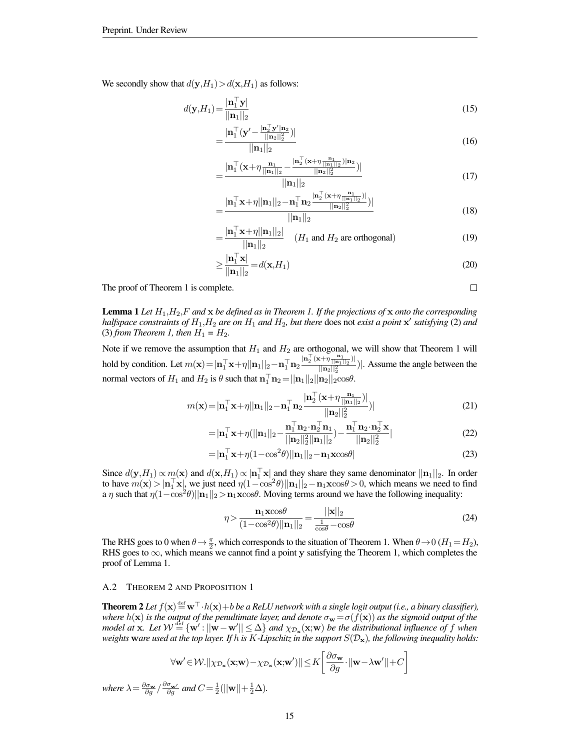We secondly show that  $d(y, H_1) > d(x, H_1)$  as follows:

$$
d(\mathbf{y}, H_1) = \frac{|\mathbf{n}_1^{\top} \mathbf{y}|}{||\mathbf{n}_1||_2}
$$
\n(15)

$$
=\frac{|\mathbf{n}_1^{\top}(\mathbf{y'}-\frac{|\mathbf{n}_2^{\top}\mathbf{y'}|\mathbf{n}_2}{||\mathbf{n}_2||_2^2})|}{||\mathbf{n}_1||_2}
$$
(16)

$$
=\frac{|\mathbf{n}_1^{\top}(\mathbf{x}+\eta\frac{\mathbf{n}_1}{||\mathbf{n}_1||_2}-\frac{|\mathbf{n}_2^{\top}(\mathbf{x}+\eta\frac{\mathbf{n}_1}{||\mathbf{n}_1||_2})|\mathbf{n}_2}{||\mathbf{n}_2||_2^2})|}{\cdots}
$$
(17)

$$
||\mathbf{n}_1||_2
$$
\n
$$
||\mathbf{n}_1||_2
$$
\n
$$
||\mathbf{n}_1||_2 = \mathbf{n}_1 \mathbf{n}_2 \cdot \frac{|\mathbf{n}_2| (\mathbf{x} + \eta \frac{\mathbf{n}_1}{||\mathbf{n}_1||_2})|}{|\mathbf{n}_1||_2|}
$$

$$
=\frac{|\mathbf{n}_1^{\top}\mathbf{x}+\eta||\mathbf{n}_1||_2-\mathbf{n}_1^{\top}\mathbf{n}_2^{\top}\frac{|\mathbf{n}_2^{\top}(\mathbf{x}+\eta)||\mathbf{n}_1||_2}{||\mathbf{n}_2||_2^2})|}{||\mathbf{n}_1||_2}
$$
(18)

$$
= \frac{|\mathbf{n}_1^\top \mathbf{x} + \eta||\mathbf{n}_1||_2|}{||\mathbf{n}_1||_2} \quad (H_1 \text{ and } H_2 \text{ are orthogonal}) \tag{19}
$$

$$
\geq \frac{|\mathbf{n}_1^\top \mathbf{x}|}{||\mathbf{n}_1||_2} = d(\mathbf{x}, H_1)
$$
\n(20)

 $\Box$ 

The proof of Theorem 1 is complete.

**Lemma 1** Let  $H_1, H_2, F$  and  $\bf{x}$  be defined as in Theorem 1. If the projections of  $\bf{x}$  onto the corresponding *halfspace constraints of*  $H_1$ *,*  $H_2$  *are on*  $H_1$  *and*  $H_2$ *, but there does not exist a point*  $\mathbf{x}'$  *satisfying (2) and* (3) *from Theorem 1, then*  $H_1 = H_2$ .

Note if we remove the assumption that  $H_1$  and  $H_2$  are orthogonal, we will show that Theorem 1 will hold by condition. Let  $m(\mathbf{x}) = |\mathbf{n}_1^{\top} \mathbf{x} + \eta||\mathbf{n}_1||_2 - \mathbf{n}_1^{\top} \mathbf{n}_2 \frac{|\mathbf{n}_2^{\top}(\mathbf{x} + \eta \frac{\mathbf{n}_1}{||\mathbf{n}_1||_2})|}{||\mathbf{n}_2||_2^2}$  $\frac{\left|\binom{n_1}{2}\binom{n_1}{2}\right|}{\left|\binom{n_2}{2}\right|}$ . Assume the angle between the normal vectors of  $H_1$  and  $H_2$  is  $\theta$  such that  $\mathbf{n}_1^{\top} \mathbf{n}_2 = ||\mathbf{n}_1||_2 ||\mathbf{n}_2||_2 \cos \theta$ .

$$
m(\mathbf{x}) = |\mathbf{n}_1^\top \mathbf{x} + \eta| |\mathbf{n}_1||_2 - \mathbf{n}_1^\top \mathbf{n}_2 \frac{|\mathbf{n}_2^\top (\mathbf{x} + \eta \frac{\mathbf{n}_1}{||\mathbf{n}_1||_2})|}{||\mathbf{n}_2||_2^2})|
$$
(21)

$$
=|\mathbf{n}_1^\top \mathbf{x} + \eta(||\mathbf{n}_1||_2 - \frac{\mathbf{n}_1^\top \mathbf{n}_2 \cdot \mathbf{n}_2^\top \mathbf{n}_1}{||\mathbf{n}_2||_2^2||\mathbf{n}_1||_2}) - \frac{\mathbf{n}_1^\top \mathbf{n}_2 \cdot \mathbf{n}_2^\top \mathbf{x}}{||\mathbf{n}_2||_2^2}|
$$
(22)

$$
=|\mathbf{n}_1^\top \mathbf{x} + \eta (1 - \cos^2 \theta) ||\mathbf{n}_1||_2 - \mathbf{n}_1 \mathbf{x} \cos \theta| \tag{23}
$$

Since  $d(y, H_1) \propto m(x)$  and  $d(x, H_1) \propto |\mathbf{n}_1^{\top} \mathbf{x}|$  and they share they same denominator  $||\mathbf{n}_1||_2$ . In order to have  $m(\mathbf{x}) > |\mathbf{n}_1^{\top} \mathbf{x}|$ , we just need  $\eta(1 - \cos^2 \theta) ||\mathbf{n}_1||_2 - \mathbf{n}_1 \mathbf{x} \cos \theta > 0$ , which means we need to find a  $\eta$  such that  $\eta(1-\cos^2\theta)||\mathbf{n}_1||_2 > \mathbf{n}_1 \mathbf{x} \cos\theta$ . Moving terms around we have the following inequality:

$$
\eta > \frac{\mathbf{n}_1 \mathbf{x} \cos \theta}{(1 - \cos^2 \theta) ||\mathbf{n}_1||_2} = \frac{||\mathbf{x}||_2}{\frac{1}{\cos \theta} - \cos \theta} \tag{24}
$$

The RHS goes to 0 when  $\theta \rightarrow \frac{\pi}{2}$ , which corresponds to the situation of Theorem 1. When  $\theta \rightarrow 0$  ( $H_1 = H_2$ ), RHS goes to  $\infty$ , which means we cannot find a point y satisfying the Theorem 1, which completes the proof of Lemma 1.

### A.2 THEOREM 2 AND PROPOSITION 1

**Theorem 2** Let  $f(\mathbf{x}) \stackrel{\text{def}}{=} \mathbf{w}^\top \cdot h(\mathbf{x}) + b$  be a ReLU network with a single logit output (i.e., a binary classifier), *where*  $h(\mathbf{x})$  *is the output of the penultimate layer, and denote*  $\sigma_{\mathbf{w}}\!=\!\sigma(f(\mathbf{x}))$  *as the sigmoid output of the*  $m$ odel at  $x$ . Let  $W \stackrel{\text{def}}{=} \{w': ||w - w'|| \leq \Delta\}$  and  $\chi_{\mathcal{D}_x}(x;w)$  be the distributional influence of f when *weights* w*are used at the top layer. If* h *is* K*-Lipschitz in the support* S(Dx)*, the following inequality holds:*

$$
\forall \mathbf{w}' \in \mathcal{W}. || \chi_{\mathcal{D}_{\mathbf{x}}}(\mathbf{x}; \mathbf{w}) - \chi_{\mathcal{D}_{\mathbf{x}}}(\mathbf{x}; \mathbf{w}') || \leq K \left[ \frac{\partial \sigma_{\mathbf{w}}}{\partial g} \cdot ||\mathbf{w} - \lambda \mathbf{w}' || + C \right]
$$

*where*  $\lambda = \frac{\partial \sigma_{\mathbf{w}}}{\partial g} / \frac{\partial \sigma_{\mathbf{w}'}}{\partial g}$  and  $C = \frac{1}{2} (||\mathbf{w}|| + \frac{1}{2}\Delta)$ *.*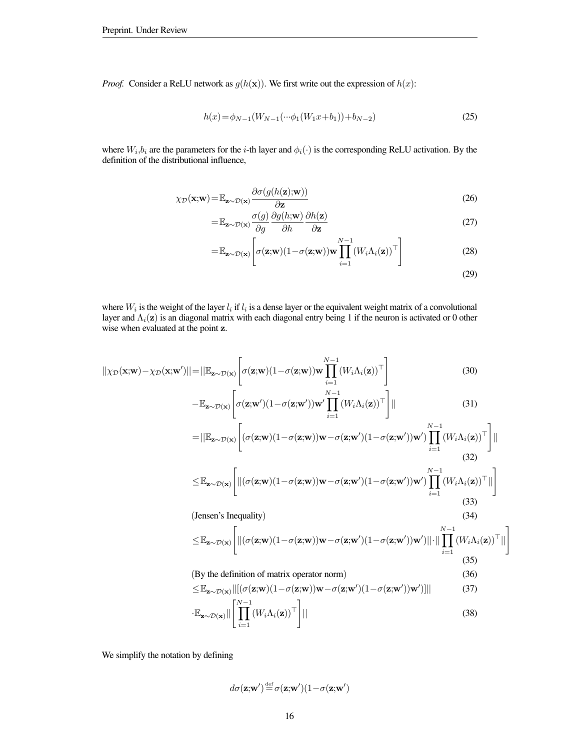*Proof.* Consider a ReLU network as  $g(h(\mathbf{x}))$ . We first write out the expression of  $h(x)$ :

$$
h(x) = \phi_{N-1}(W_{N-1}(\cdots \phi_1(W_1x + b_1)) + b_{N-2})
$$
\n(25)

where  $W_i, b_i$  are the parameters for the *i*-th layer and  $\phi_i(\cdot)$  is the corresponding ReLU activation. By the definition of the distributional influence,

$$
\chi_{\mathcal{D}}(\mathbf{x}; \mathbf{w}) = \mathbb{E}_{\mathbf{z} \sim \mathcal{D}(\mathbf{x})} \frac{\partial \sigma(g(h(\mathbf{z}); \mathbf{w}))}{\partial \mathbf{z}}
$$
(26)

$$
= \mathbb{E}_{\mathbf{z} \sim \mathcal{D}(\mathbf{x})} \frac{\sigma(g)}{\partial g} \frac{\partial g(h; \mathbf{w})}{\partial h} \frac{\partial h(\mathbf{z})}{\partial \mathbf{z}}
$$
(27)

$$
= \mathbb{E}_{\mathbf{z} \sim \mathcal{D}(\mathbf{x})} \left[ \sigma(\mathbf{z}; \mathbf{w}) (1 - \sigma(\mathbf{z}; \mathbf{w})) \mathbf{w} \prod_{i=1}^{N-1} (W_i \Lambda_i(\mathbf{z}))^\top \right]
$$
(28)

(29)

1

where  $W_i$  is the weight of the layer  $l_i$  if  $l_i$  is a dense layer or the equivalent weight matrix of a convolutional layer and  $\Lambda_i(z)$  is an diagonal matrix with each diagonal entry being 1 if the neuron is activated or 0 other wise when evaluated at the point z.

$$
||\chi_{\mathcal{D}}(\mathbf{x}; \mathbf{w}) - \chi_{\mathcal{D}}(\mathbf{x}; \mathbf{w}')|| = ||\mathbb{E}_{\mathbf{z} \sim \mathcal{D}(\mathbf{x})} \left[ \sigma(\mathbf{z}; \mathbf{w})(1 - \sigma(\mathbf{z}; \mathbf{w})) \mathbf{w} \prod_{i=1}^{N-1} (W_i \Lambda_i(\mathbf{z}))^\top \right]
$$
(30)

$$
-\mathbb{E}_{\mathbf{z}\sim\mathcal{D}(\mathbf{x})}\left[\sigma(\mathbf{z};\mathbf{w}')(1-\sigma(\mathbf{z};\mathbf{w}'))\mathbf{w}'\prod_{i=1}^{N-1}(W_i\Lambda_i(\mathbf{z}))^\top\right]||
$$
(31)  

$$
=||\mathbb{E}_{\mathbf{z}\sim\mathcal{D}(\mathbf{x})}\left[\left(\sigma(\mathbf{z};\mathbf{w})(1-\sigma(\mathbf{z};\mathbf{w}))\mathbf{w}-\sigma(\mathbf{z};\mathbf{w}')(1-\sigma(\mathbf{z};\mathbf{w}'))\mathbf{w}'\right)\prod_{i=1}^{N-1}(W_i\Lambda_i(\mathbf{z}))^\top\right]
$$

$$
=||\mathbb{E}_{\mathbf{z}\sim\mathcal{D}(\mathbf{x})}\left[ (\sigma(\mathbf{z};\mathbf{w})(1-\sigma(\mathbf{z};\mathbf{w}))\mathbf{w}-\sigma(\mathbf{z};\mathbf{w}')(1-\sigma(\mathbf{z};\mathbf{w}'))\mathbf{w}' )\prod_{i=1}^{N-1} (W_i\Lambda_i(\mathbf{z}))^{\top}\right]||
$$
\n
$$
\leq \mathbb{E}_{\mathbf{z}\sim\mathcal{D}(\mathbf{x})}\left[||(\sigma(\mathbf{z};\mathbf{w})(1-\sigma(\mathbf{z};\mathbf{w}))\mathbf{w}-\sigma(\mathbf{z};\mathbf{w}')(1-\sigma(\mathbf{z};\mathbf{w}'))\mathbf{w}' )\prod_{i=1}^{N-1} (W_i\Lambda_i(\mathbf{z}))^{\top}||\right]
$$
\n(33)

(Jensen's Inequality) (34)

$$
\leq \mathbb{E}_{\mathbf{z}\sim\mathcal{D}(\mathbf{x})}\Bigg[||(\sigma(\mathbf{z};\mathbf{w})(1-\sigma(\mathbf{z};\mathbf{w}))\mathbf{w}-\sigma(\mathbf{z};\mathbf{w}')(1-\sigma(\mathbf{z};\mathbf{w}'))\mathbf{w}')||\cdot||\prod_{i=1}^{N-1}(W_i\Lambda_i(\mathbf{z}))^\top||\Bigg] \tag{35}
$$

(By the definition of matrix operator norm) (36)

$$
\leq \mathbb{E}_{\mathbf{z}\sim\mathcal{D}(\mathbf{x})}||[(\sigma(\mathbf{z};\mathbf{w})(1-\sigma(\mathbf{z};\mathbf{w}))\mathbf{w}-\sigma(\mathbf{z};\mathbf{w}')(1-\sigma(\mathbf{z};\mathbf{w}'))\mathbf{w}']||
$$
(37)

$$
\mathbb{E}_{\mathbf{z}\sim\mathcal{D}(\mathbf{x})}||\left[\prod_{i=1}^{N-1} (W_i \Lambda_i(\mathbf{z}))^\top\right]||
$$
\n(38)

We simplify the notation by defining

$$
d\sigma(\mathbf{z};\!\mathbf{w}') \!\stackrel{\text{def}}{=} \! \sigma(\mathbf{z};\!\mathbf{w}') (1 \!-\! \sigma(\mathbf{z};\!\mathbf{w}')
$$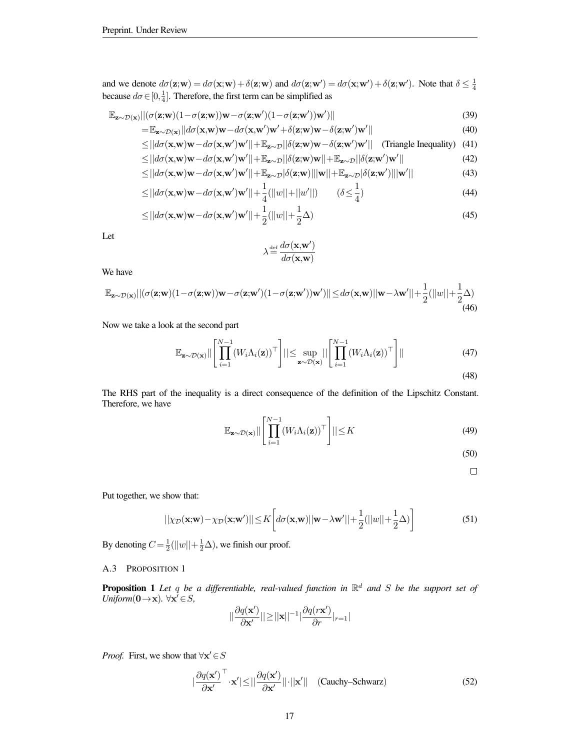and we denote  $d\sigma(\mathbf{z}; \mathbf{w}) = d\sigma(\mathbf{x}; \mathbf{w}) + \delta(\mathbf{z}; \mathbf{w})$  and  $d\sigma(\mathbf{z}; \mathbf{w}') = d\sigma(\mathbf{x}; \mathbf{w}') + \delta(\mathbf{z}; \mathbf{w}')$ . Note that  $\delta \leq \frac{1}{4}$ because  $d\sigma \in [0, \frac{1}{4}]$ . Therefore, the first term can be simplified as

$$
\mathbb{E}_{\mathbf{z}\sim\mathcal{D}(\mathbf{x})}||(\sigma(\mathbf{z};\mathbf{w})(1-\sigma(\mathbf{z};\mathbf{w}))\mathbf{w}-\sigma(\mathbf{z};\mathbf{w}')(1-\sigma(\mathbf{z};\mathbf{w}'))\mathbf{w}')|| \tag{39}
$$

$$
= \mathbb{E}_{\mathbf{z} \sim \mathcal{D}(\mathbf{x})} ||d\sigma(\mathbf{x}, \mathbf{w})\mathbf{w} - d\sigma(\mathbf{x}, \mathbf{w}')\mathbf{w}' + \delta(\mathbf{z}; \mathbf{w})\mathbf{w} - \delta(\mathbf{z}; \mathbf{w}')\mathbf{w}' || \tag{40}
$$

$$
\leq ||d\sigma(\mathbf{x}, \mathbf{w})\mathbf{w} - d\sigma(\mathbf{x}, \mathbf{w}')\mathbf{w}'|| + \mathbb{E}_{\mathbf{z} \sim \mathcal{D}} ||\delta(\mathbf{z}, \mathbf{w})\mathbf{w} - \delta(\mathbf{z}, \mathbf{w}')\mathbf{w}'||
$$
 (Triangle Inequality) (41)

$$
\leq ||d\sigma(\mathbf{x}, \mathbf{w})\mathbf{w} - d\sigma(\mathbf{x}, \mathbf{w}')\mathbf{w}'|| + \mathbb{E}_{\mathbf{z} \sim \mathcal{D}} ||\delta(\mathbf{z}; \mathbf{w})\mathbf{w}|| + \mathbb{E}_{\mathbf{z} \sim \mathcal{D}} ||\delta(\mathbf{z}; \mathbf{w}')\mathbf{w}'|| \tag{42}
$$

$$
\leq ||d\sigma(\mathbf{x}, \mathbf{w})\mathbf{w} - d\sigma(\mathbf{x}, \mathbf{w}')\mathbf{w}'|| + \mathbb{E}_{\mathbf{z}\sim\mathcal{D}} |\delta(\mathbf{z}, \mathbf{w})| ||\mathbf{w}|| + \mathbb{E}_{\mathbf{z}\sim\mathcal{D}} |\delta(\mathbf{z}, \mathbf{w}')|| |\mathbf{w}'|| \tag{43}
$$

$$
\leq ||d\sigma(\mathbf{x}, \mathbf{w})\mathbf{w} - d\sigma(\mathbf{x}, \mathbf{w}')\mathbf{w}'|| + \frac{1}{4}(||w|| + ||w'||) \qquad (\delta \leq \frac{1}{4})
$$
\n(44)

$$
\leq ||d\sigma(\mathbf{x}, \mathbf{w})\mathbf{w} - d\sigma(\mathbf{x}, \mathbf{w}')\mathbf{w}'|| + \frac{1}{2} (||w|| + \frac{1}{2}\Delta)
$$
\n(45)

Let

$$
\lambda {\, \stackrel{\textnormal{\tiny def}}{=}\, } \frac{d\sigma({\bf x},{\bf w}')}{d\sigma({\bf x},{\bf w})}
$$

We have

$$
\mathbb{E}_{\mathbf{z}\sim\mathcal{D}(\mathbf{x})}||(\sigma(\mathbf{z};\mathbf{w})(1-\sigma(\mathbf{z};\mathbf{w}))\mathbf{w}-\sigma(\mathbf{z};\mathbf{w}')(1-\sigma(\mathbf{z};\mathbf{w}'))\mathbf{w}')|| \leq d\sigma(\mathbf{x},\mathbf{w})||\mathbf{w}-\lambda\mathbf{w}'|| + \frac{1}{2}(||w|| + \frac{1}{2}\Delta) \tag{46}
$$

Now we take a look at the second part

$$
\mathbb{E}_{\mathbf{z}\sim\mathcal{D}(\mathbf{x})}||\left[\prod_{i=1}^{N-1} (W_i \Lambda_i(\mathbf{z}))^\top\right]|| \leq \sup_{\mathbf{z}\sim\mathcal{D}(\mathbf{x})}||\left[\prod_{i=1}^{N-1} (W_i \Lambda_i(\mathbf{z}))^\top\right]||
$$
\n(47)

The RHS part of the inequality is a direct consequence of the definition of the Lipschitz Constant. Therefore, we have

$$
\mathbb{E}_{\mathbf{z}\sim\mathcal{D}(\mathbf{x})}||\left[\prod_{i=1}^{N-1} (W_i \Lambda_i(\mathbf{z}))^\top\right]|| \leq K
$$
\n(49)

- (50)
	- $\Box$

Put together, we show that:

$$
||\chi_{\mathcal{D}}(\mathbf{x}; \mathbf{w}) - \chi_{\mathcal{D}}(\mathbf{x}; \mathbf{w}')|| \le K \left[ d\sigma(\mathbf{x}, \mathbf{w}) ||\mathbf{w} - \lambda \mathbf{w}'|| + \frac{1}{2} (||w|| + \frac{1}{2}\Delta) \right]
$$
(51)

By denoting  $C = \frac{1}{2} (||w|| + \frac{1}{2}\Delta)$ , we finish our proof.

|

A.3 PROPOSITION 1

Proposition 1 *Let* q *be a differentiable, real-valued function in* R <sup>d</sup> *and* S *be the support set of Uniform*( $0 \rightarrow x$ ).  $\forall x^7 \in S$ ,

$$
||\frac{\partial q(\mathbf{x}')}{\partial \mathbf{x}'}|| \!\geq\! ||\mathbf{x}||^{-1}|\frac{\partial q(r\mathbf{x}')}{\partial r}|_{r=1}|
$$

*Proof.* First, we show that  $\forall x' \in S$ 

$$
\frac{\partial q(\mathbf{x}')}{\partial \mathbf{x}'}^{\top} \cdot \mathbf{x}' |\leq ||\frac{\partial q(\mathbf{x}')}{\partial \mathbf{x}'}|| \cdot ||\mathbf{x}'|| \quad \text{(Cauchy–Schwarz)}\tag{52}
$$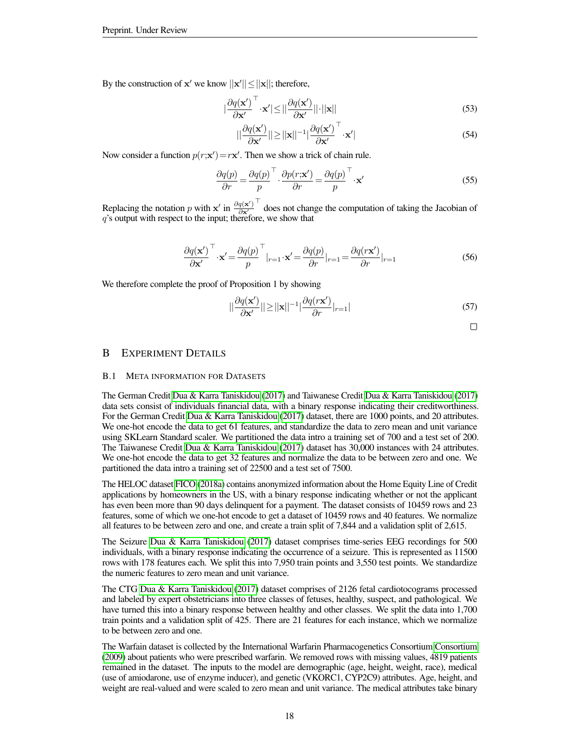By the construction of  $x'$  we know  $||x'|| \le ||x||$ ; therefore,

$$
\left|\frac{\partial q(\mathbf{x}')}{\partial \mathbf{x}'}^{\top} \cdot \mathbf{x}'\right| \leq \left|\left|\frac{\partial q(\mathbf{x}')}{\partial \mathbf{x}'}\right|\right| \cdot \left|\left|\mathbf{x}\right|\right| \tag{53}
$$

$$
||\frac{\partial q(\mathbf{x}')}{\partial \mathbf{x}'}|| \ge ||\mathbf{x}||^{-1} |\frac{\partial q(\mathbf{x}')}{\partial \mathbf{x}'}^{\top} \cdot \mathbf{x}'|
$$
\n(54)

Now consider a function  $p(r; \mathbf{x}') = r\mathbf{x}'$ . Then we show a trick of chain rule.

$$
\frac{\partial q(p)}{\partial r} = \frac{\partial q(p)}{p}^\top \cdot \frac{\partial p(r; \mathbf{x}')}{\partial r} = \frac{\partial q(p)}{p}^\top \cdot \mathbf{x}'\tag{55}
$$

Replacing the notation p with x' in  $\frac{\partial q(\mathbf{x}')}{\partial \mathbf{x}'}$  $\top$  does not change the computation of taking the Jacobian of q's output with respect to the input; therefore, we show that

$$
\frac{\partial q(\mathbf{x}')}{\partial \mathbf{x}'}^{\top} \cdot \mathbf{x}' = \frac{\partial q(p)}{p}^{\top} \big|_{r=1} \cdot \mathbf{x}' = \frac{\partial q(p)}{\partial r} \big|_{r=1} = \frac{\partial q(r\mathbf{x}')}{\partial r} \big|_{r=1}
$$
(56)

We therefore complete the proof of Proposition 1 by showing

$$
||\frac{\partial q(\mathbf{x}')}{\partial \mathbf{x}'}|| \ge ||\mathbf{x}||^{-1} |\frac{\partial q(r\mathbf{x}')}{\partial r}|_{r=1}|
$$
\n(57)

$$
\qquad \qquad \Box
$$

# B EXPERIMENT DETAILS

#### <span id="page-17-0"></span>B.1 META INFORMATION FOR DATASETS

The German Credit [Dua & Karra Taniskidou](#page-10-2) [\(2017\)](#page-10-2) and Taiwanese Credit [Dua & Karra Taniskidou](#page-10-2) [\(2017\)](#page-10-2) data sets consist of individuals financial data, with a binary response indicating their creditworthiness. For the German Credit [Dua & Karra Taniskidou](#page-10-2) [\(2017\)](#page-10-2) dataset, there are 1000 points, and 20 attributes. We one-hot encode the data to get 61 features, and standardize the data to zero mean and unit variance using SKLearn Standard scaler. We partitioned the data intro a training set of 700 and a test set of 200. The Taiwanese Credit [Dua & Karra Taniskidou](#page-10-2) [\(2017\)](#page-10-2) dataset has 30,000 instances with 24 attributes. We one-hot encode the data to get 32 features and normalize the data to be between zero and one. We partitioned the data intro a training set of 22500 and a test set of 7500.

The HELOC dataset [FICO](#page-10-9) [\(2018a\)](#page-10-9) contains anonymized information about the Home Equity Line of Credit applications by homeowners in the US, with a binary response indicating whether or not the applicant has even been more than 90 days delinquent for a payment. The dataset consists of 10459 rows and 23 features, some of which we one-hot encode to get a dataset of 10459 rows and 40 features. We normalize all features to be between zero and one, and create a train split of 7,844 and a validation split of 2,615.

The Seizure [Dua & Karra Taniskidou](#page-10-2) [\(2017\)](#page-10-2) dataset comprises time-series EEG recordings for 500 individuals, with a binary response indicating the occurrence of a seizure. This is represented as 11500 rows with 178 features each. We split this into 7,950 train points and 3,550 test points. We standardize the numeric features to zero mean and unit variance.

The CTG [Dua & Karra Taniskidou](#page-10-2) [\(2017\)](#page-10-2) dataset comprises of 2126 fetal cardiotocograms processed and labeled by expert obstetricians into three classes of fetuses, healthy, suspect, and pathological. We have turned this into a binary response between healthy and other classes. We split the data into 1,700 train points and a validation split of 425. There are 21 features for each instance, which we normalize to be between zero and one.

The Warfain dataset is collected by the International Warfarin Pharmacogenetics Consortium [Consortium](#page-10-10) [\(2009\)](#page-10-10) about patients who were prescribed warfarin. We removed rows with missing values, 4819 patients remained in the dataset. The inputs to the model are demographic (age, height, weight, race), medical (use of amiodarone, use of enzyme inducer), and genetic (VKORC1, CYP2C9) attributes. Age, height, and weight are real-valued and were scaled to zero mean and unit variance. The medical attributes take binary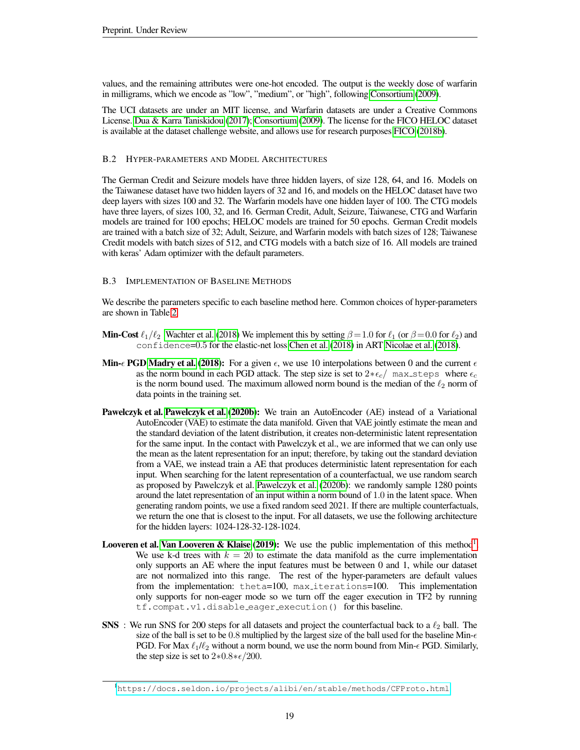values, and the remaining attributes were one-hot encoded. The output is the weekly dose of warfarin in milligrams, which we encode as "low", "medium", or "high", following [Consortium](#page-10-10) [\(2009\)](#page-10-10).

The UCI datasets are under an MIT license, and Warfarin datasets are under a Creative Commons License. [Dua & Karra Taniskidou](#page-10-2) [\(2017\)](#page-10-2); [Consortium](#page-10-10) [\(2009\)](#page-10-10). The license for the FICO HELOC dataset is available at the dataset challenge website, and allows use for research purposes [FICO](#page-10-19) [\(2018b\)](#page-10-19).

# B.2 HYPER-PARAMETERS AND MODEL ARCHITECTURES

The German Credit and Seizure models have three hidden layers, of size 128, 64, and 16. Models on the Taiwanese dataset have two hidden layers of 32 and 16, and models on the HELOC dataset have two deep layers with sizes 100 and 32. The Warfarin models have one hidden layer of 100. The CTG models have three layers, of sizes 100, 32, and 16. German Credit, Adult, Seizure, Taiwanese, CTG and Warfarin models are trained for 100 epochs; HELOC models are trained for 50 epochs. German Credit models are trained with a batch size of 32; Adult, Seizure, and Warfarin models with batch sizes of 128; Taiwanese Credit models with batch sizes of 512, and CTG models with a batch size of 16. All models are trained with keras' Adam optimizer with the default parameters.

### <span id="page-18-0"></span>B.3 IMPLEMENTATION OF BASELINE METHODS

We describe the parameters specific to each baseline method here. Common choices of hyper-parameters are shown in Table [2.](#page-19-2)

- **Min-Cost**  $\ell_1/\ell_2$  [Wachter et al.](#page-12-2) [\(2018\)](#page-12-2) We implement this by setting  $\beta = 1.0$  for  $\ell_1$  (or  $\beta = 0.0$  for  $\ell_2$ ) and confidence=0.5 for the elastic-net loss [Chen et al.](#page-10-11) [\(2018\)](#page-10-11) in ART [Nicolae et al.](#page-12-15) [\(2018\)](#page-12-15).
- Min- $\epsilon$  PGD [Madry et al.](#page-11-17) [\(2018\)](#page-11-17): For a given  $\epsilon$ , we use 10 interpolations between 0 and the current  $\epsilon$ as the norm bound in each PGD attack. The step size is set to  $2 \times \epsilon_c / \max_{s \in \mathcal{S}}$  where  $\epsilon_c$ is the norm bound used. The maximum allowed norm bound is the median of the  $\ell_2$  norm of data points in the training set.
- Pawelczyk et al. [Pawelczyk et al.](#page-12-9) [\(2020b\)](#page-12-9): We train an AutoEncoder (AE) instead of a Variational AutoEncoder (VAE) to estimate the data manifold. Given that VAE jointly estimate the mean and the standard deviation of the latent distribution, it creates non-deterministic latent representation for the same input. In the contact with Pawelczyk et al., we are informed that we can only use the mean as the latent representation for an input; therefore, by taking out the standard deviation from a VAE, we instead train a AE that produces deterministic latent representation for each input. When searching for the latent representation of a counterfactual, we use random search as proposed by Pawelczyk et al. [Pawelczyk et al.](#page-12-9) [\(2020b\)](#page-12-9): we randomly sample 1280 points around the latet representation of an input within a norm bound of 1.0 in the latent space. When generating random points, we use a fixed random seed 2021. If there are multiple counterfactuals, we return the one that is closest to the input. For all datasets, we use the following architecture for the hidden layers: 1024-128-32-128-1024.
- Looveren et al. [Van Looveren & Klaise](#page-12-3) [\(2019\)](#page-12-3): We use the public implementation of this method<sup>[1](#page-18-1)</sup>. We use k-d trees with  $k = 20$  to estimate the data manifold as the curre implementation only supports an AE where the input features must be between 0 and 1, while our dataset are not normalized into this range. The rest of the hyper-parameters are default values from the implementation: theta=100, max iterations=100. This implementation only supports for non-eager mode so we turn off the eager execution in TF2 by running tf.compat.v1.disable eager execution() for this baseline.
- SNS : We run SNS for 200 steps for all datasets and project the counterfactual back to a  $\ell_2$  ball. The size of the ball is set to be 0.8 multiplied by the largest size of the ball used for the baseline Min- $\epsilon$ PGD. For Max  $\ell_1/\ell_2$  without a norm bound, we use the norm bound from Min- $\epsilon$  PGD. Similarly, the step size is set to  $2*0.8*\epsilon/200$ .

<span id="page-18-1"></span><sup>1</sup><https://docs.seldon.io/projects/alibi/en/stable/methods/CFProto.html>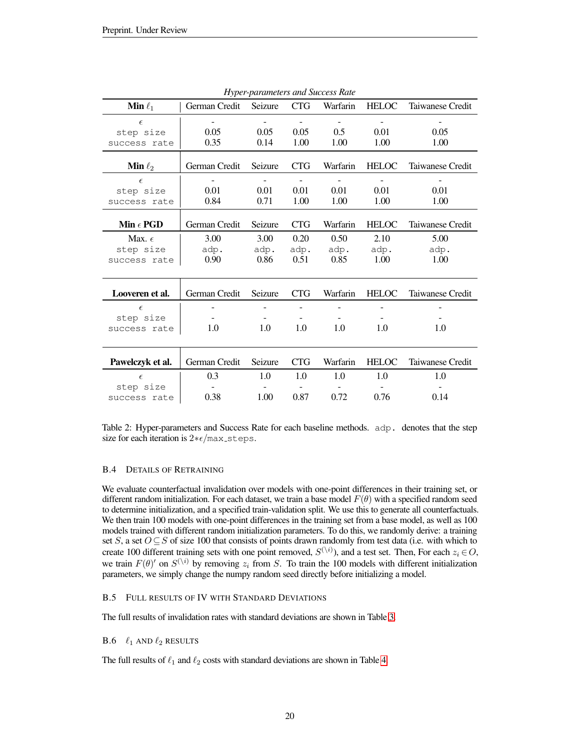<span id="page-19-2"></span>

| $-$ , $\mu$ $\sim$ . $\mu$ |               |                          |                |                |                          |                  |  |
|----------------------------|---------------|--------------------------|----------------|----------------|--------------------------|------------------|--|
| <b>Min</b> $\ell_1$        | German Credit | Seizure                  | <b>CTG</b>     | Warfarin       | <b>HELOC</b>             | Taiwanese Credit |  |
| $\epsilon$                 |               | $\overline{\phantom{a}}$ | $\blacksquare$ | $\blacksquare$ | $\overline{\phantom{a}}$ | -                |  |
| step size                  | 0.05          | 0.05                     | 0.05           | 0.5            | 0.01                     | 0.05             |  |
| success rate               | 0.35          | 0.14                     | 1.00           | 1.00           | 1.00                     | 1.00             |  |
|                            |               |                          |                |                |                          |                  |  |
| <b>Min</b> $\ell_2$        | German Credit | Seizure                  | <b>CTG</b>     | Warfarin       | <b>HELOC</b>             | Taiwanese Credit |  |
| $\epsilon$                 |               |                          | $\blacksquare$ |                | $\overline{\phantom{a}}$ |                  |  |
| step size                  | 0.01          | 0.01                     | 0.01           | 0.01           | 0.01                     | 0.01             |  |
| success rate               | 0.84          | 0.71                     | 1.00           | 1.00           | 1.00                     | 1.00             |  |
|                            |               |                          |                |                |                          |                  |  |
| Min $\epsilon$ PGD         | German Credit | Seizure                  | <b>CTG</b>     | Warfarin       | <b>HELOC</b>             | Taiwanese Credit |  |
| Max. $\epsilon$            | 3.00          | 3.00                     | 0.20           | 0.50           | 2.10                     | 5.00             |  |
| step size                  | adp.          | adp.                     | adp.           | adp.           | adp.                     | adp.             |  |
| success rate               | 0.90          | 0.86                     | 0.51           | 0.85           | 1.00                     | 1.00             |  |
|                            |               |                          |                |                |                          |                  |  |
| Looveren et al.            | German Credit | Seizure                  | <b>CTG</b>     | Warfarin       | <b>HELOC</b>             | Taiwanese Credit |  |
| $\epsilon$                 |               |                          |                |                |                          |                  |  |
| step size                  |               |                          | $\sim$         |                |                          |                  |  |
| success rate               | 1.0           | 1.0                      | 1.0            | 1.0            | 1.0                      | 1.0              |  |
|                            |               |                          |                |                |                          |                  |  |
| Pawelczyk et al.           | German Credit | Seizure                  | <b>CTG</b>     | Warfarin       | <b>HELOC</b>             | Taiwanese Credit |  |
|                            |               |                          |                |                |                          |                  |  |
| $\epsilon$                 | 0.3           | 1.0                      | 1.0            | 1.0            | 1.0                      | 1.0              |  |
| step size                  |               |                          |                |                |                          |                  |  |
| success rate               | 0.38          | 1.00                     | 0.87           | 0.72           | 0.76                     | 0.14             |  |

*Hyper-parameters and Success Rate*

Table 2: Hyper-parameters and Success Rate for each baseline methods. adp. denotes that the step size for each iteration is  $2 * \epsilon / \text{max\_steps}$ .

### <span id="page-19-1"></span>B.4 DETAILS OF RETRAINING

We evaluate counterfactual invalidation over models with one-point differences in their training set, or different random initialization. For each dataset, we train a base model  $F(\theta)$  with a specified random seed to determine initialization, and a specified train-validation split. We use this to generate all counterfactuals. We then train 100 models with one-point differences in the training set from a base model, as well as 100 models trained with different random initialization parameters. To do this, we randomly derive: a training set S, a set  $O \subseteq S$  of size 100 that consists of points drawn randomly from test data (i.e. with which to create 100 different training sets with one point removed,  $S^{(\setminus i)}$ , and a test set. Then, For each  $z_i \in O$ , we train  $F(\theta)'$  on  $S^{(\backslash i)}$  by removing  $z_i$  from S. To train the 100 models with different initialization parameters, we simply change the numpy random seed directly before initializing a model.

### B.5 FULL RESULTS OF IV WITH STANDARD DEVIATIONS

The full results of invalidation rates with standard deviations are shown in Table [3.](#page-20-0)

### <span id="page-19-0"></span>**B.6**  $\ell_1$  AND  $\ell_2$  RESULTS

The full results of  $\ell_1$  and  $\ell_2$  costs with standard deviations are shown in Table [4.](#page-20-1)